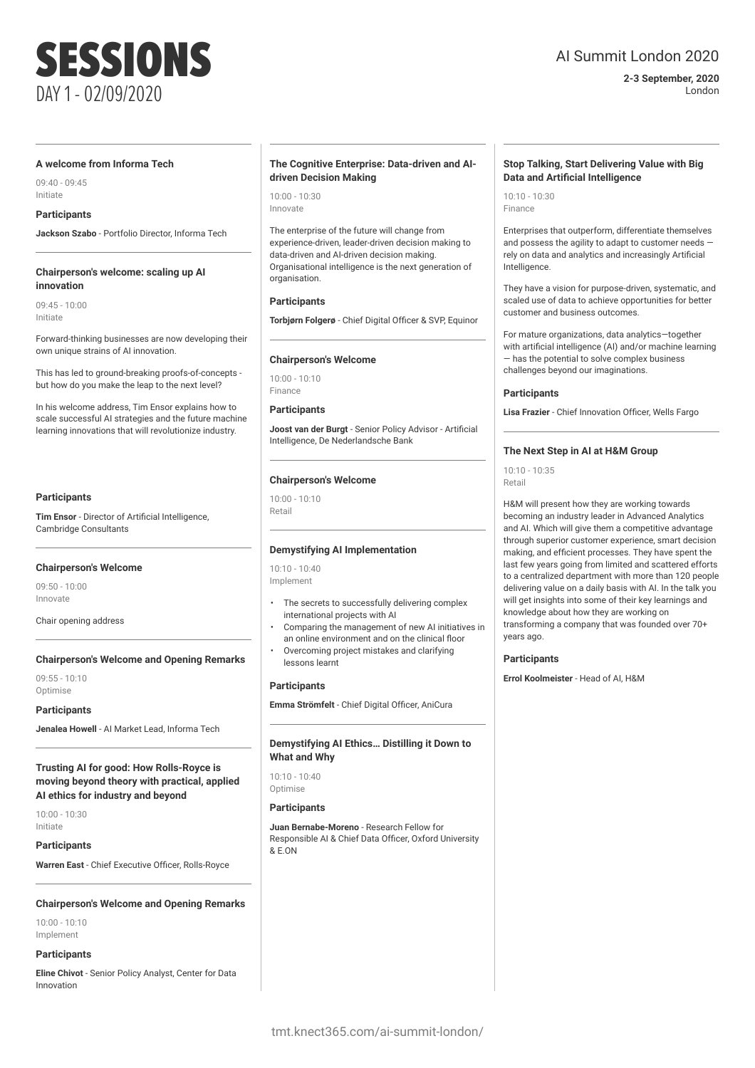## AI Summit London 2020

**2-3 September, 2020** London

### **A welcome from Informa Tech**

09:40 - 09:45 Initiate

### **Participants**

**Jackson Szabo** - Portfolio Director, Informa Tech

### **Chairperson's welcome: scaling up AI innovation**

09:45 - 10:00 Initiate

Forward-thinking businesses are now developing their own unique strains of AI innovation.

This has led to ground-breaking proofs-of-concepts but how do you make the leap to the next level?

In his welcome address, Tim Ensor explains how to scale successful AI strategies and the future machine learning innovations that will revolutionize industry.

### **Participants**

**Tim Ensor** - Director of Artificial Intelligence, Cambridge Consultants

### **Chairperson's Welcome**

09:50 - 10:00 Innovate

Chair opening address

### **Chairperson's Welcome and Opening Remarks**

 $09:55 - 10:10$ **Optimise** 

### **Participants**

**Jenalea Howell** - AI Market Lead, Informa Tech

**Trusting AI for good: How Rolls-Royce is moving beyond theory with practical, applied AI ethics for industry and beyond**

10:00 - 10:30 Initiate

**Participants**

**Warren East** - Chief Executive Officer, Rolls-Royce

### **Chairperson's Welcome and Opening Remarks**

10:00 - 10:10 Implement

### **Participants**

**Eline Chivot** - Senior Policy Analyst, Center for Data Innovation

### **The Cognitive Enterprise: Data-driven and AIdriven Decision Making**

10:00 - 10:30 Innovate

The enterprise of the future will change from experience-driven, leader-driven decision making to data-driven and AI-driven decision making. Organisational intelligence is the next generation of organisation

### **Participants**

**Torbjørn Folgerø** - Chief Digital Officer & SVP, Equinor

### **Chairperson's Welcome**

10:00 - 10:10 Finance

### **Participants**

**Joost van der Burgt** - Senior Policy Advisor - Artificial Intelligence, De Nederlandsche Bank

### **Chairperson's Welcome**

10:00 - 10:10 Retail

### **Demystifying AI Implementation**

10:10 - 10:40 Implement

- The secrets to successfully delivering complex international projects with AI
- Comparing the management of new AI initiatives in an online environment and on the clinical floor
- Overcoming project mistakes and clarifying lessons learnt

### **Participants**

**Emma Strömfelt** - Chief Digital Officer, AniCura

### **Demystifying AI Ethics… Distilling it Down to What and Why**

10:10 - 10:40 Optimise

### **Participants**

**Juan Bernabe-Moreno** - Research Fellow for Responsible AI & Chief Data Officer, Oxford University & E.ON

### **Stop Talking, Start Delivering Value with Big Data and Artificial Intelligence**

10:10 - 10:30 Finance

Enterprises that outperform, differentiate themselves and possess the agility to adapt to customer needs rely on data and analytics and increasingly Artificial Intelligence.

They have a vision for purpose-driven, systematic, and scaled use of data to achieve opportunities for better customer and business outcomes.

For mature organizations, data analytics—together with artificial intelligence (AI) and/or machine learning — has the potential to solve complex business challenges beyond our imaginations.

### **Participants**

**Lisa Frazier** - Chief Innovation Officer, Wells Fargo

### **The Next Step in AI at H&M Group**

10:10 - 10:35 Retail

H&M will present how they are working towards becoming an industry leader in Advanced Analytics and AI. Which will give them a competitive advantage through superior customer experience, smart decision making, and efficient processes. They have spent the last few years going from limited and scattered efforts to a centralized department with more than 120 people delivering value on a daily basis with AI. In the talk you will get insights into some of their key learnings and knowledge about how they are working on transforming a company that was founded over 70+ years ago.

### **Participants**

**Errol Koolmeister** - Head of AI, H&M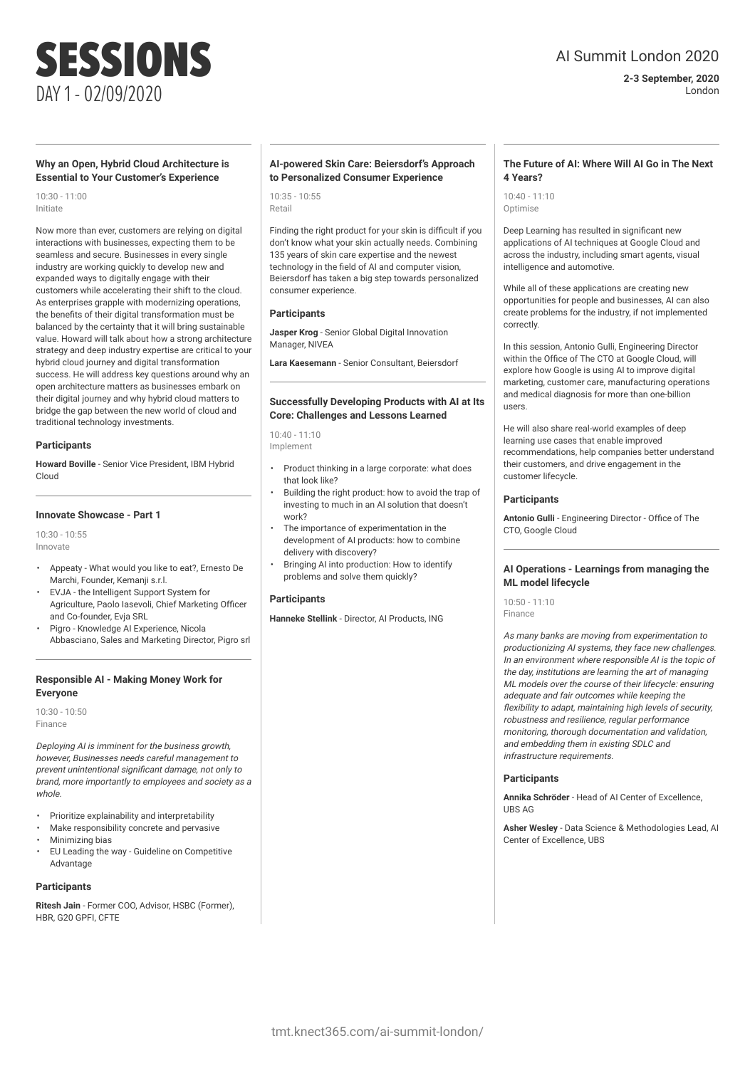## AI Summit London 2020

**2-3 September, 2020** London

### **Why an Open, Hybrid Cloud Architecture is Essential to Your Customer's Experience**

10:30 - 11:00 Initiate

Now more than ever, customers are relying on digital interactions with businesses, expecting them to be seamless and secure. Businesses in every single industry are working quickly to develop new and expanded ways to digitally engage with their customers while accelerating their shift to the cloud. As enterprises grapple with modernizing operations, the benefits of their digital transformation must be balanced by the certainty that it will bring sustainable value. Howard will talk about how a strong architecture strategy and deep industry expertise are critical to your hybrid cloud journey and digital transformation success. He will address key questions around why an open architecture matters as businesses embark on their digital journey and why hybrid cloud matters to bridge the gap between the new world of cloud and traditional technology investments.

### **Participants**

**Howard Boville** - Senior Vice President, IBM Hybrid Cloud

### **Innovate Showcase - Part 1**

10:30 - 10:55 Innovate

- Appeaty What would you like to eat?, Ernesto De Marchi, Founder, Kemanji s.r.l.
- EVJA the Intelligent Support System for Agriculture, Paolo Iasevoli, Chief Marketing Officer and Co-founder, Evja SRL
- Pigro Knowledge AI Experience, Nicola Abbasciano, Sales and Marketing Director, Pigro srl

### **Responsible AI - Making Money Work for Everyone**

10:30 - 10:50 Finance

Deploying AI is imminent for the business growth, however, Businesses needs careful management to prevent unintentional significant damage, not only to brand, more importantly to employees and society as a whole.

- Prioritize explainability and interpretability
- Make responsibility concrete and pervasive
- Minimizing bias
- EU Leading the way Guideline on Competitive Advantage

### **Participants**

**Ritesh Jain** - Former COO, Advisor, HSBC (Former), HBR, G20 GPFL CFTF

### **AI-powered Skin Care: Beiersdorf's Approach to Personalized Consumer Experience**

10:35 - 10:55 Retail

Finding the right product for your skin is difficult if you don't know what your skin actually needs. Combining 135 years of skin care expertise and the newest technology in the field of AI and computer vision, Beiersdorf has taken a big step towards personalized consumer experience.

### **Participants**

**Jasper Krog** - Senior Global Digital Innovation Manager, NIVEA

**Lara Kaesemann** - Senior Consultant, Beiersdorf

### **Successfully Developing Products with AI at Its Core: Challenges and Lessons Learned**

10:40 - 11:10 Implement

- Product thinking in a large corporate: what does that look like?
- Building the right product: how to avoid the trap of investing to much in an AI solution that doesn't work?
- The importance of experimentation in the development of AI products: how to combine delivery with discovery?
- Bringing AI into production: How to identify problems and solve them quickly?

### **Participants**

**Hanneke Stellink** - Director, AI Products, ING

### **The Future of AI: Where Will AI Go in The Next 4 Years?**

10:40 - 11:10 Optimise

Deep Learning has resulted in significant new applications of AI techniques at Google Cloud and across the industry, including smart agents, visual intelligence and automotive.

While all of these applications are creating new opportunities for people and businesses, AI can also create problems for the industry, if not implemented correctly.

In this session, Antonio Gulli, Engineering Director within the Office of The CTO at Google Cloud, will explore how Google is using AI to improve digital marketing, customer care, manufacturing operations and medical diagnosis for more than one-billion users.

He will also share real-world examples of deep learning use cases that enable improved recommendations, help companies better understand their customers, and drive engagement in the customer lifecycle.

### **Participants**

**Antonio Gulli** - Engineering Director - Office of The CTO, Google Cloud

### **AI Operations - Learnings from managing the ML model lifecycle**

10:50 - 11:10 Finance

As many banks are moving from experimentation to productionizing AI systems, they face new challenges. In an environment where responsible AI is the topic of the day, institutions are learning the art of managing ML models over the course of their lifecycle: ensuring adequate and fair outcomes while keeping the flexibility to adapt, maintaining high levels of security, robustness and resilience, regular performance monitoring, thorough documentation and validation, and embedding them in existing SDLC and infrastructure requirements.

### **Participants**

**Annika Schröder** - Head of AI Center of Excellence, UBS AG

**Asher Wesley** - Data Science & Methodologies Lead, AI Center of Excellence, UBS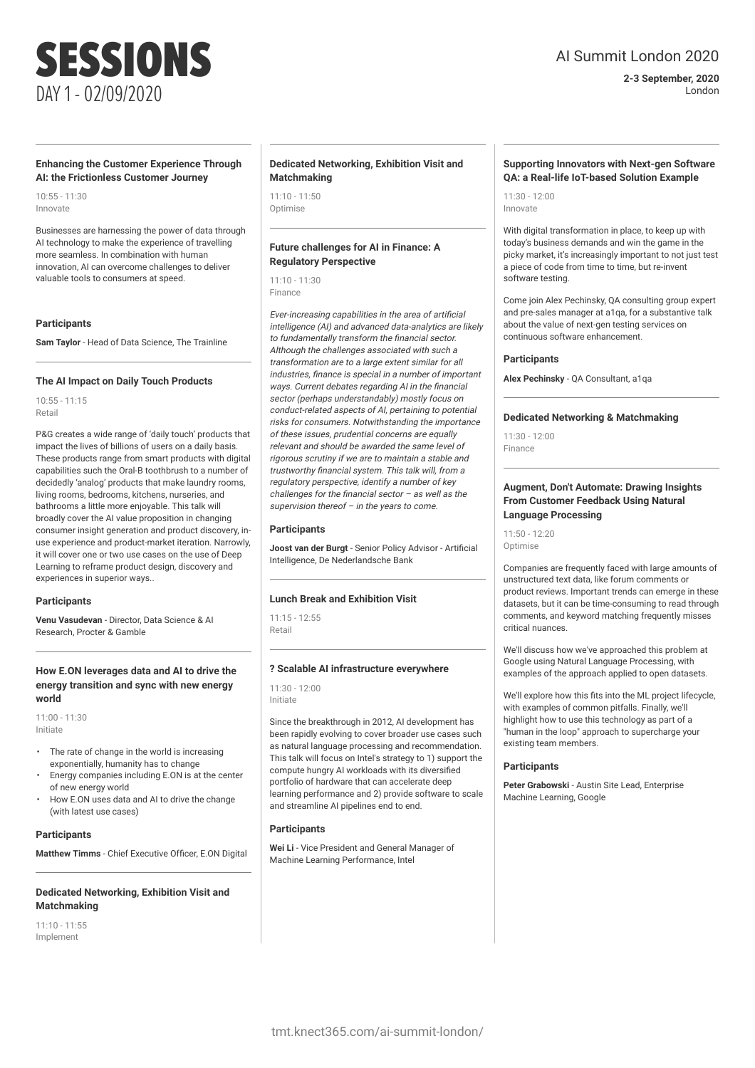## AI Summit London 2020

**2-3 September, 2020** London

### **Enhancing the Customer Experience Through AI: the Frictionless Customer Journey**

10:55 - 11:30 Innovate

Businesses are harnessing the power of data through AI technology to make the experience of travelling more seamless. In combination with human innovation, AI can overcome challenges to deliver valuable tools to consumers at speed.

### **Participants**

**Sam Taylor** - Head of Data Science, The Trainline

### **The AI Impact on Daily Touch Products**

10:55 - 11:15 Retail

P&G creates a wide range of 'daily touch' products that impact the lives of billions of users on a daily basis. These products range from smart products with digital capabilities such the Oral-B toothbrush to a number of decidedly 'analog' products that make laundry rooms, living rooms, bedrooms, kitchens, nurseries, and bathrooms a little more enjoyable. This talk will broadly cover the AI value proposition in changing consumer insight generation and product discovery, inuse experience and product-market iteration. Narrowly, it will cover one or two use cases on the use of Deep Learning to reframe product design, discovery and experiences in superior ways..

### **Participants**

**Venu Vasudevan** - Director, Data Science & AI Research, Procter & Gamble

### **How E.ON leverages data and AI to drive the energy transition and sync with new energy world**

11:00 - 11:30 Initiate

- The rate of change in the world is increasing exponentially, humanity has to change
- Energy companies including E.ON is at the center of new energy world
- How E.ON uses data and AI to drive the change (with latest use cases)

### **Participants**

**Matthew Timms** - Chief Executive Officer, E.ON Digital

### **Dedicated Networking, Exhibition Visit and Matchmaking**

11:10 - 11:55 Implement

### **Dedicated Networking, Exhibition Visit and Matchmaking**

11:10 - 11:50 Optimise

### **Future challenges for AI in Finance: A Regulatory Perspective**

11:10 - 11:30 Finance

Ever-increasing capabilities in the area of artificial intelligence (AI) and advanced data-analytics are likely to fundamentally transform the financial sector. Although the challenges associated with such a transformation are to a large extent similar for all industries, finance is special in a number of important ways. Current debates regarding AI in the financial sector (perhaps understandably) mostly focus on conduct-related aspects of AI, pertaining to potential risks for consumers. Notwithstanding the importance of these issues, prudential concerns are equally relevant and should be awarded the same level of rigorous scrutiny if we are to maintain a stable and trustworthy financial system. This talk will, from a regulatory perspective, identify a number of key challenges for the financial sector – as well as the supervision thereof  $-$  in the years to come.

### **Participants**

**Joost van der Burgt** - Senior Policy Advisor - Artificial Intelligence, De Nederlandsche Bank

### **Lunch Break and Exhibition Visit**

 $11:15 - 12:55$ Retail

### **? Scalable AI infrastructure everywhere**

11:30 - 12:00 Initiate

Since the breakthrough in 2012, AI development has been rapidly evolving to cover broader use cases such as natural language processing and recommendation. This talk will focus on Intel's strategy to 1) support the compute hungry AI workloads with its diversified portfolio of hardware that can accelerate deep learning performance and 2) provide software to scale and streamline AI pipelines end to end.

### **Participants**

**Wei Li** - Vice President and General Manager of Machine Learning Performance, Intel

### **Supporting Innovators with Next-gen Software QA: a Real-life IoT-based Solution Example**

 $11:30 - 12:00$ Innovate

With digital transformation in place, to keep up with today's business demands and win the game in the picky market, it's increasingly important to not just test a piece of code from time to time, but re-invent software testing.

Come join Alex Pechinsky, OA consulting group expert and pre-sales manager at a1qa, for a substantive talk about the value of next-gen testing services on continuous software enhancement.

### **Participants**

**Alex Pechinsky** - QA Consultant, a1qa

### **Dedicated Networking & Matchmaking**

11:30 - 12:00 Finance

### **Augment, Don't Automate: Drawing Insights From Customer Feedback Using Natural Language Processing**

11:50 - 12:20 **Optimise** 

Companies are frequently faced with large amounts of unstructured text data, like forum comments or product reviews. Important trends can emerge in these datasets, but it can be time-consuming to read through comments, and keyword matching frequently misses critical nuances.

We'll discuss how we've approached this problem at Google using Natural Language Processing, with examples of the approach applied to open datasets.

We'll explore how this fits into the ML project lifecycle, with examples of common pitfalls. Finally, we'll highlight how to use this technology as part of a "human in the loop" approach to supercharge your existing team members.

### **Participants**

**Peter Grabowski** - Austin Site Lead, Enterprise Machine Learning, Google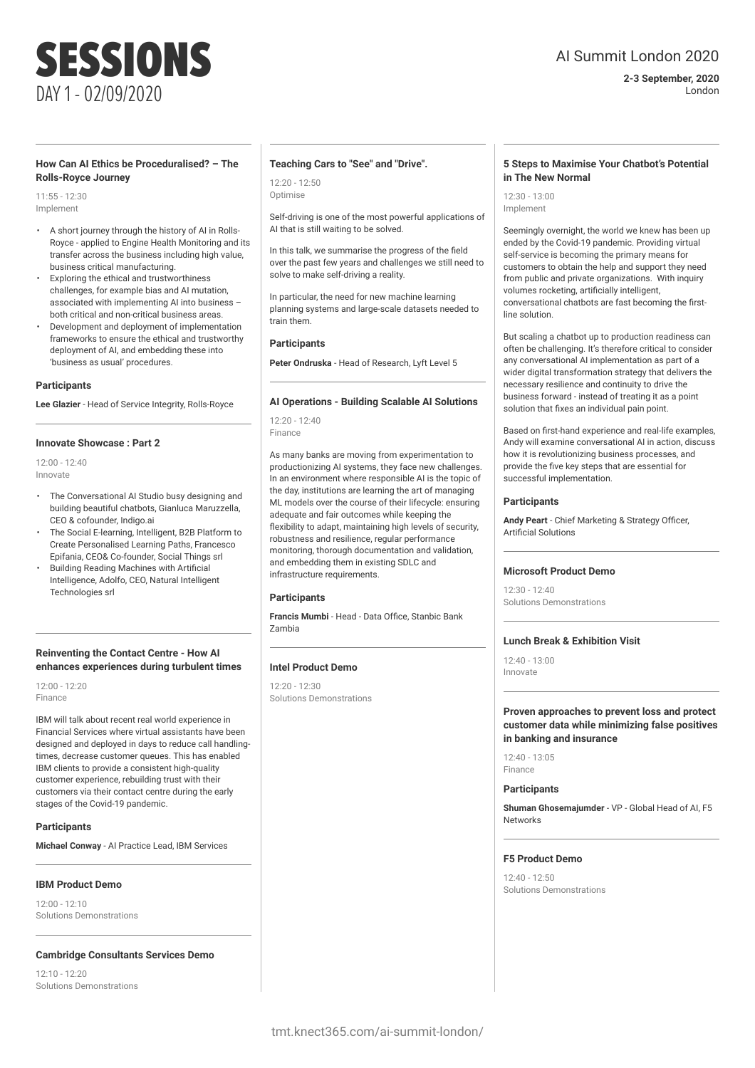## AI Summit London 2020

### **2-3 September, 2020** London

### **How Can AI Ethics be Proceduralised? – The Rolls-Royce Journey**

11:55 - 12:30 Implement

- A short journey through the history of AI in Rolls-Royce - applied to Engine Health Monitoring and its transfer across the business including high value, business critical manufacturing.
- Exploring the ethical and trustworthiness challenges, for example bias and AI mutation, associated with implementing AI into business – both critical and non-critical business areas.
- Development and deployment of implementation frameworks to ensure the ethical and trustworthy deployment of AI, and embedding these into 'business as usual' procedures.

### **Participants**

**Lee Glazier** - Head of Service Integrity, Rolls-Royce

### **Innovate Showcase : Part 2**

12:00 - 12:40 Innovate

- The Conversational AI Studio busy designing and building beautiful chatbots, Gianluca Maruzzella, CEO & cofounder, Indigo.ai
- The Social E-learning, Intelligent, B2B Platform to Create Personalised Learning Paths, Francesco Epifania, CEO& Co-founder, Social Things srl
- Building Reading Machines with Artificial Intelligence, Adolfo, CEO, Natural Intelligent Technologies srl

### **Reinventing the Contact Centre - How AI enhances experiences during turbulent times**

12:00 - 12:20 Finance

IBM will talk about recent real world experience in Financial Services where virtual assistants have been designed and deployed in days to reduce call handlingtimes, decrease customer queues. This has enabled IBM clients to provide a consistent high-quality customer experience, rebuilding trust with their customers via their contact centre during the early stages of the Covid-19 pandemic.

### **Participants**

**Michael Conway** - AI Practice Lead, IBM Services

### **IBM Product Demo**

12:00 - 12:10 Solutions Demonstrations

### **Cambridge Consultants Services Demo**

 $12:10 - 12:20$ Solutions Demonstrations

### **Teaching Cars to "See" and "Drive".**

12:20 - 12:50 Optimise

Self-driving is one of the most powerful applications of AI that is still waiting to be solved.

In this talk, we summarise the progress of the field over the past few years and challenges we still need to solve to make self-driving a reality.

In particular, the need for new machine learning planning systems and large-scale datasets needed to train them.

### **Participants**

**Peter Ondruska** - Head of Research, Lyft Level 5

### **AI Operations - Building Scalable AI Solutions**

12:20 - 12:40 Finance

As many banks are moving from experimentation to productionizing AI systems, they face new challenges. In an environment where responsible AI is the topic of the day, institutions are learning the art of managing ML models over the course of their lifecycle: ensuring adequate and fair outcomes while keeping the flexibility to adapt, maintaining high levels of security, robustness and resilience, regular performance monitoring, thorough documentation and validation, and embedding them in existing SDLC and infrastructure requirements.

### **Participants**

**Francis Mumbi** - Head - Data Office, Stanbic Bank Zambia

### **Intel Product Demo**

 $12:20 - 12:30$ Solutions Demonstrations

### **5 Steps to Maximise Your Chatbot's Potential in The New Normal**

 $12.30 - 13.00$ Implement

Seemingly overnight, the world we knew has been up ended by the Covid-19 pandemic. Providing virtual self-service is becoming the primary means for customers to obtain the help and support they need from public and private organizations. With inquiry volumes rocketing, artificially intelligent, conversational chatbots are fast becoming the firstline solution.

But scaling a chatbot up to production readiness can often be challenging. It's therefore critical to consider any conversational AI implementation as part of a wider digital transformation strategy that delivers the necessary resilience and continuity to drive the business forward - instead of treating it as a point solution that fixes an individual pain point.

Based on first-hand experience and real-life examples, Andy will examine conversational AI in action, discuss how it is revolutionizing business processes, and provide the five key steps that are essential for successful implementation.

### **Participants**

**Andy Peart** - Chief Marketing & Strategy Officer, Artificial Solutions

### **Microsoft Product Demo**

12:30 - 12:40 Solutions Demonstrations

### **Lunch Break & Exhibition Visit**

12:40 - 13:00 Innovate

**Proven approaches to prevent loss and protect customer data while minimizing false positives in banking and insurance**

12:40 - 13:05 Finance

### **Participants**

**Shuman Ghosemajumder** - VP - Global Head of AI, F5 Networks

### **F5 Product Demo**

 $12:40 - 12:50$ Solutions Demonstrations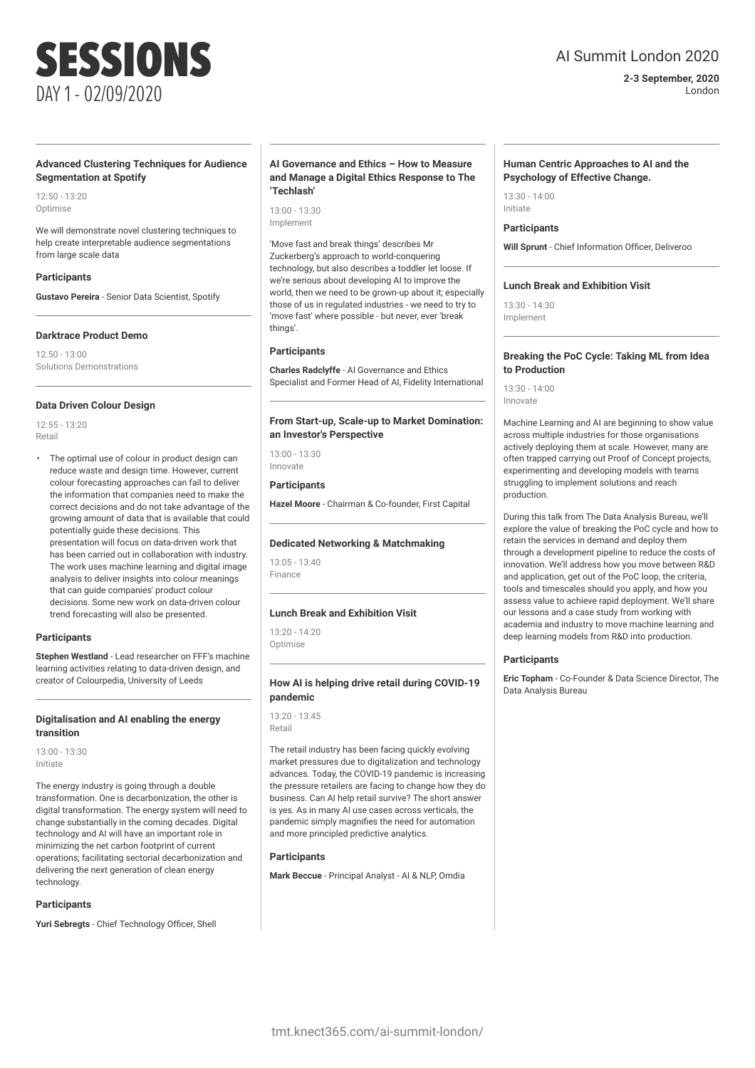### **Advanced Clustering Techniques for Audience Segmentation at Spotify**

 $12.50 - 13.20$ Optimise

We will demonstrate novel clustering techniques to help create interpretable audience segmentations from large scale data

### **Participants**

**Gustavo Pereira** - Senior Data Scientist, Spotify

### **Darktrace Product Demo**

 $12:50 - 13:00$ Solutions Demonstrations

### **Data Driven Colour Design**

12:55 - 13:20 Retail

The optimal use of colour in product design can reduce waste and design time. However, current colour forecasting approaches can fail to deliver the information that companies need to make the correct decisions and do not take advantage of the growing amount of data that is available that could potentially guide these decisions. This presentation will focus on data-driven work that has been carried out in collaboration with industry. The work uses machine learning and digital image analysis to deliver insights into colour meanings that can guide companies' product colour decisions. Some new work on data-driven colour trend forecasting will also be presented.

### **Participants**

**Stephen Westland** - Lead researcher on FFF's machine learning activities relating to data-driven design, and creator of Colourpedia, University of Leeds

### **Digitalisation and AI enabling the energy transition**

13:00 - 13:30 Initiate

The energy industry is going through a double transformation. One is decarbonization, the other is digital transformation. The energy system will need to change substantially in the coming decades. Digital technology and AI will have an important role in minimizing the net carbon footprint of current operations; facilitating sectorial decarbonization and delivering the next generation of clean energy technology.

### **Participants**

**Yuri Sebregts** - Chief Technology Officer, Shell

### **AI Governance and Ethics – How to Measure and Manage a Digital Ethics Response to The 'Techlash'**

13:00 - 13:30 Implement

'Move fast and break things' describes Mr Zuckerberg's approach to world-conquering technology, but also describes a toddler let loose. If we're serious about developing AI to improve the world, then we need to be grown-up about it; especially those of us in regulated industries - we need to try to 'move fast' where possible - but never, ever 'break things'.

### **Participants**

**Charles Radclyffe** - AI Governance and Ethics Specialist and Former Head of AI, Fidelity International

### **From Start-up, Scale-up to Market Domination: an Investor's Perspective**

13:00 - 13:30 Innovate

### **Participants**

**Hazel Moore** - Chairman & Co-founder, First Capital

### **Dedicated Networking & Matchmaking**

13:05 - 13:40 Finance

### **Lunch Break and Exhibition Visit**

 $13:20 - 14:20$ Optimise

### **How AI is helping drive retail during COVID-19 pandemic**

13:20 - 13:45 Retail

The retail industry has been facing quickly evolving market pressures due to digitalization and technology advances. Today, the COVID-19 pandemic is increasing the pressure retailers are facing to change how they do business. Can AI help retail survive? The short answer is yes. As in many AI use cases across verticals, the pandemic simply magnifies the need for automation and more principled predictive analytics.

### **Participants**

**Mark Beccue** - Principal Analyst - AI & NLP, Omdia

## AI Summit London 2020

**2-3 September, 2020** London

### **Human Centric Approaches to AI and the Psychology of Effective Change.**

13:30 - 14:00 Initiate

### **Participants**

**Will Sprunt** - Chief Information Officer, Deliveroo

### **Lunch Break and Exhibition Visit**

 $13.20 - 14.20$ Implement

### **Breaking the PoC Cycle: Taking ML from Idea to Production**

13:30 - 14:00 Innovate

Machine Learning and AI are beginning to show value across multiple industries for those organisations actively deploying them at scale. However, many are often trapped carrying out Proof of Concept projects, experimenting and developing models with teams struggling to implement solutions and reach production.

During this talk from The Data Analysis Bureau, we'll explore the value of breaking the PoC cycle and how to retain the services in demand and deploy them through a development pipeline to reduce the costs of innovation. We'll address how you move between R&D and application, get out of the PoC loop, the criteria, tools and timescales should you apply, and how you assess value to achieve rapid deployment. We'll share our lessons and a case study from working with academia and industry to move machine learning and deep learning models from R&D into production.

### **Participants**

**Eric Topham** - Co-Founder & Data Science Director, The Data Analysis Bureau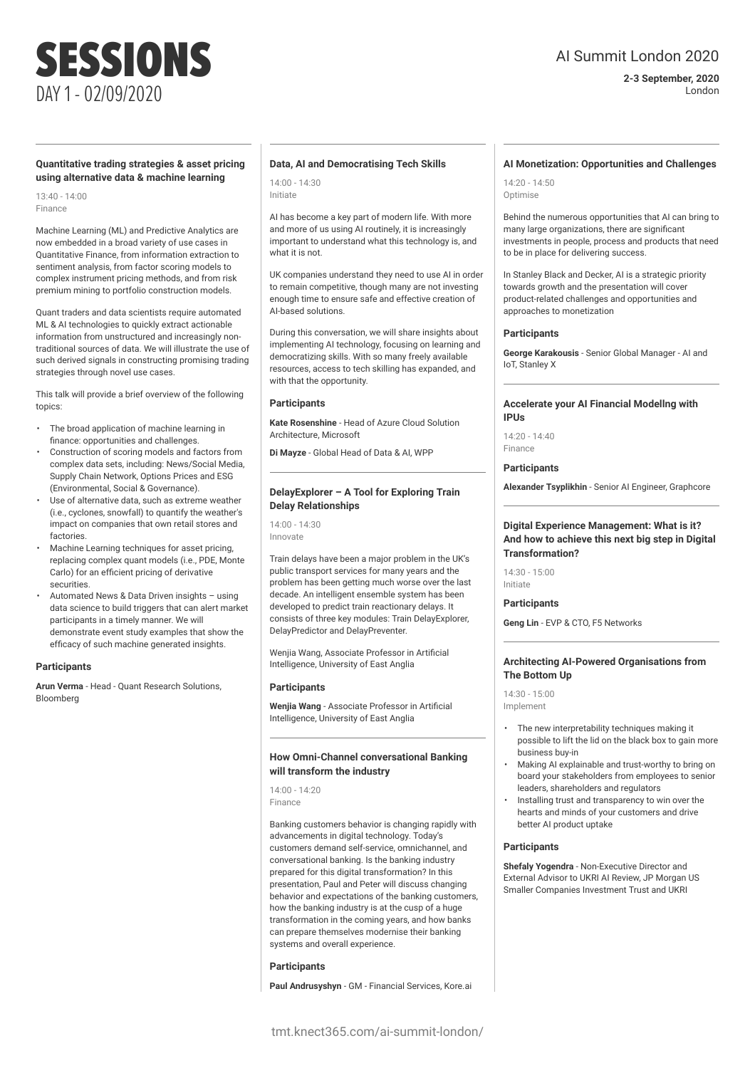## AI Summit London 2020

**2-3 September, 2020** London

### **Quantitative trading strategies & asset pricing using alternative data & machine learning**

13:40 - 14:00 Finance

Machine Learning (ML) and Predictive Analytics are now embedded in a broad variety of use cases in Quantitative Finance, from information extraction to sentiment analysis, from factor scoring models to complex instrument pricing methods, and from risk premium mining to portfolio construction models.

Quant traders and data scientists require automated ML & AI technologies to quickly extract actionable information from unstructured and increasingly nontraditional sources of data. We will illustrate the use of such derived signals in constructing promising trading strategies through novel use cases.

This talk will provide a brief overview of the following topics:

- The broad application of machine learning in finance: opportunities and challenges.
- Construction of scoring models and factors from complex data sets, including: News/Social Media, Supply Chain Network, Options Prices and ESG (Environmental, Social & Governance).
- Use of alternative data, such as extreme weather (i.e., cyclones, snowfall) to quantify the weather's impact on companies that own retail stores and factories.
- Machine Learning techniques for asset pricing, replacing complex quant models (i.e., PDE, Monte Carlo) for an efficient pricing of derivative securities.
- Automated News & Data Driven insights using data science to build triggers that can alert market participants in a timely manner. We will demonstrate event study examples that show the efficacy of such machine generated insights.

### **Participants**

**Arun Verma** - Head - Quant Research Solutions, Bloomberg

### **Data, AI and Democratising Tech Skills**

14:00 - 14:30 Initiate

AI has become a key part of modern life. With more and more of us using AI routinely, it is increasingly important to understand what this technology is, and what it is not.

UK companies understand they need to use AI in order to remain competitive, though many are not investing enough time to ensure safe and effective creation of AI-based solutions.

During this conversation, we will share insights about implementing AI technology, focusing on learning and democratizing skills. With so many freely available resources, access to tech skilling has expanded, and with that the opportunity.

### **Participants**

**Kate Rosenshine** - Head of Azure Cloud Solution Architecture, Microsoft

**Di Mayze** - Global Head of Data & AI, WPP

### **DelayExplorer – A Tool for Exploring Train Delay Relationships**

14:00 - 14:30 Innovate

Train delays have been a major problem in the UK's public transport services for many years and the problem has been getting much worse over the last decade. An intelligent ensemble system has been developed to predict train reactionary delays. It consists of three key modules: Train DelayExplorer, DelayPredictor and DelayPreventer.

Wenjia Wang, Associate Professor in Artificial Intelligence, University of East Anglia

### **Participants**

**Wenjia Wang** - Associate Professor in Artificial Intelligence, University of East Anglia

### **How Omni-Channel conversational Banking will transform the industry**

14:00 - 14:20 Finance

Banking customers behavior is changing rapidly with advancements in digital technology. Today's customers demand self-service, omnichannel, and conversational banking. Is the banking industry prepared for this digital transformation? In this presentation, Paul and Peter will discuss changing behavior and expectations of the banking customers, how the banking industry is at the cusp of a huge transformation in the coming years, and how banks can prepare themselves modernise their banking systems and overall experience.

### **Participants**

**Paul Andrusyshyn** - GM - Financial Services, Kore.ai

### **AI Monetization: Opportunities and Challenges**

14:20 - 14:50 Optimise

Behind the numerous opportunities that AI can bring to many large organizations, there are significant investments in people, process and products that need to be in place for delivering success.

In Stanley Black and Decker, AI is a strategic priority towards growth and the presentation will cover product-related challenges and opportunities and approaches to monetization

### **Participants**

**George Karakousis** - Senior Global Manager - AI and IoT, Stanley X

### **Accelerate your AI Financial Modellng with IPUs**

14:20 - 14:40 Finance

### **Participants**

**Alexander Tsyplikhin** - Senior AI Engineer, Graphcore

### **Digital Experience Management: What is it? And how to achieve this next big step in Digital Transformation?**

 $14:30 - 15:00$ Initiate

### **Participants**

**Geng Lin** - EVP & CTO, F5 Networks

### **Architecting AI-Powered Organisations from The Bottom Up**

14:30 - 15:00 Implement

- The new interpretability techniques making it possible to lift the lid on the black box to gain more business buy-in
- Making AI explainable and trust-worthy to bring on board your stakeholders from employees to senior leaders, shareholders and regulators
- Installing trust and transparency to win over the hearts and minds of your customers and drive better AI product uptake

### **Participants**

**Shefaly Yogendra** - Non-Executive Director and External Advisor to UKRI AI Review, JP Morgan US Smaller Companies Investment Trust and UKRI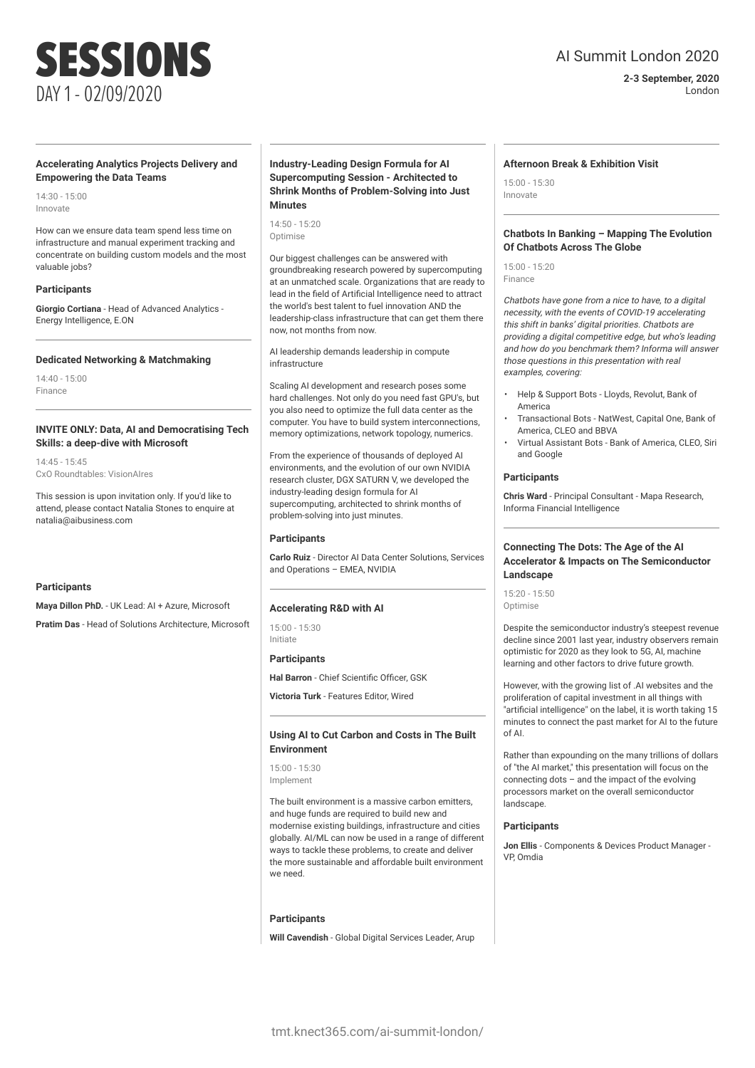### **Accelerating Analytics Projects Delivery and Empowering the Data Teams**

 $14:30 - 15:00$ Innovate

How can we ensure data team spend less time on infrastructure and manual experiment tracking and concentrate on building custom models and the most valuable jobs?

### **Participants**

**Giorgio Cortiana** - Head of Advanced Analytics - Energy Intelligence, E.ON

### **Dedicated Networking & Matchmaking**

14:40 - 15:00 Finance

### **INVITE ONLY: Data, AI and Democratising Tech Skills: a deep-dive with Microsoft**

14:45 - 15:45 CxO Roundtables: VisionAIres

This session is upon invitation only. If you'd like to attend, please contact Natalia Stones to enquire at natalia@aibusiness.com

### **Participants**

**Maya Dillon PhD.** - UK Lead: AI + Azure, Microsoft

**Pratim Das** - Head of Solutions Architecture, Microsoft

### **Industry-Leading Design Formula for AI Supercomputing Session - Architected to Shrink Months of Problem-Solving into Just Minutes**

14:50 - 15:20 Optimise

Our biggest challenges can be answered with groundbreaking research powered by supercomputing at an unmatched scale. Organizations that are ready to lead in the field of Artificial Intelligence need to attract the world's best talent to fuel innovation AND the leadership-class infrastructure that can get them there now, not months from now.

AI leadership demands leadership in compute infrastructure

Scaling AI development and research poses some hard challenges. Not only do you need fast GPU's, but you also need to optimize the full data center as the computer. You have to build system interconnections, memory optimizations, network topology, numerics.

From the experience of thousands of deployed AI environments, and the evolution of our own NVIDIA research cluster, DGX SATURN V, we developed the industry-leading design formula for AI supercomputing, architected to shrink months of problem-solving into just minutes.

### **Participants**

**Carlo Ruiz** - Director AI Data Center Solutions, Services and Operations – EMEA, NVIDIA

### **Accelerating R&D with AI**

15:00 - 15:30 Initiate

### **Participants**

**Hal Barron** - Chief Scientific Officer, GSK

**Victoria Turk** - Features Editor, Wired

### **Using AI to Cut Carbon and Costs in The Built Environment**

15:00 - 15:30 Implement

The built environment is a massive carbon emitters, and huge funds are required to build new and modernise existing buildings, infrastructure and cities globally. AI/ML can now be used in a range of different ways to tackle these problems, to create and deliver the more sustainable and affordable built environment we need.

### **Participants**

**Will Cavendish** - Global Digital Services Leader, Arup

AI Summit London 2020

**2-3 September, 2020**

London

### **Afternoon Break & Exhibition Visit**

15:00 - 15:30 Innovate

### **Chatbots In Banking – Mapping The Evolution Of Chatbots Across The Globe**

15:00 - 15:20 Finance

Chatbots have gone from a nice to have, to a digital necessity, with the events of COVID-19 accelerating this shift in banks' digital priorities. Chatbots are providing a digital competitive edge, but who's leading and how do you benchmark them? Informa will answer those questions in this presentation with real examples, covering:

- Help & Support Bots Lloyds, Revolut, Bank of America
- Transactional Bots NatWest, Capital One, Bank of America, CLEO and BBVA
- Virtual Assistant Bots Bank of America, CLEO, Siri and Google

### **Participants**

**Chris Ward** - Principal Consultant - Mapa Research, Informa Financial Intelligence

### **Connecting The Dots: The Age of the AI Accelerator & Impacts on The Semiconductor Landscape**

15:20 - 15:50 Optimise

Despite the semiconductor industry's steepest revenue decline since 2001 last year, industry observers remain optimistic for 2020 as they look to 5G, AI, machine learning and other factors to drive future growth.

However, with the growing list of .AI websites and the proliferation of capital investment in all things with "artificial intelligence" on the label, it is worth taking 15 minutes to connect the past market for AI to the future of AI.

Rather than expounding on the many trillions of dollars of "the AI market," this presentation will focus on the connecting dots – and the impact of the evolving processors market on the overall semiconductor landscape

### **Participants**

**Jon Ellis** - Components & Devices Product Manager - VP, Omdia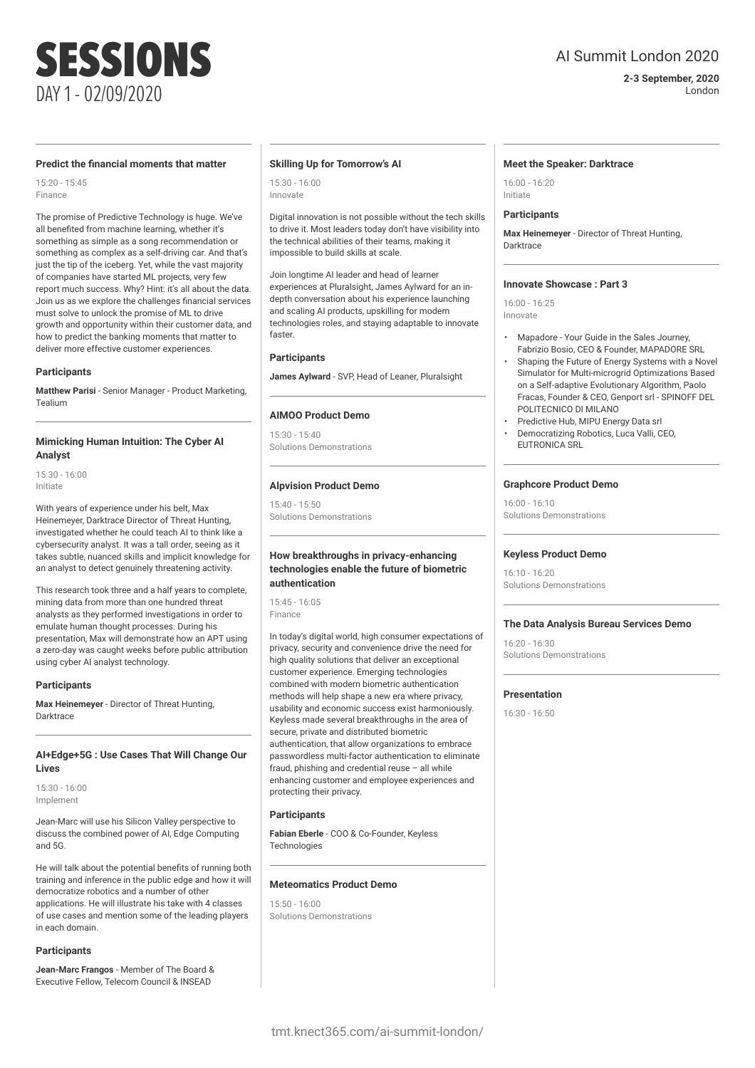## AI Summit London 2020

**2-3 September, 2020** London

### **Predict the financial moments that matter**

15:20 - 15:45 Finance

The promise of Predictive Technology is huge. We've all benefited from machine learning, whether it's something as simple as a song recommendation or something as complex as a self-driving car. And that's just the tip of the iceberg. Yet, while the vast majority of companies have started ML projects, very few report much success. Why? Hint: it's all about the data. Join us as we explore the challenges financial services must solve to unlock the promise of ML to drive growth and opportunity within their customer data, and how to predict the banking moments that matter to deliver more effective customer experiences.

### **Participants**

**Matthew Parisi** - Senior Manager - Product Marketing, Tealium

### **Mimicking Human Intuition: The Cyber AI Analyst**

15:30 - 16:00 Initiate

With years of experience under his belt, Max Heinemeyer, Darktrace Director of Threat Hunting, investigated whether he could teach AI to think like a cybersecurity analyst. It was a tall order, seeing as it takes subtle, nuanced skills and implicit knowledge for an analyst to detect genuinely threatening activity.

This research took three and a half years to complete, mining data from more than one hundred threat analysts as they performed investigations in order to emulate human thought processes. During his presentation, Max will demonstrate how an APT using a zero-day was caught weeks before public attribution using cyber AI analyst technology.

### **Participants**

**Max Heinemeyer** - Director of Threat Hunting, Darktrace

### **AI+Edge+5G : Use Cases That Will Change Our Lives**

15:30 - 16:00 Implement

Jean-Marc will use his Silicon Valley perspective to discuss the combined power of AI, Edge Computing and 5G.

He will talk about the potential benefits of running both training and inference in the public edge and how it will democratize robotics and a number of other applications. He will illustrate his take with 4 classes of use cases and mention some of the leading players in each domain.

### **Participants**

**Jean-Marc Frangos** - Member of The Board & Executive Fellow, Telecom Council & INSEAD

### **Skilling Up for Tomorrow's AI**

15:30 - 16:00 Innovate

Digital innovation is not possible without the tech skills to drive it. Most leaders today don't have visibility into the technical abilities of their teams, making it impossible to build skills at scale.

Join longtime AI leader and head of learner experiences at Pluralsight, James Aylward for an indepth conversation about his experience launching and scaling AI products, upskilling for modern technologies roles, and staying adaptable to innovate faster.

### **Participants**

**James Aylward** - SVP, Head of Leaner, Pluralsight

### **AIMOO Product Demo**

15:30 - 15:40 Solutions Demonstrations

### **Alpvision Product Demo**

15:40 - 15:50 Solutions Demonstrations

### **How breakthroughs in privacy-enhancing technologies enable the future of biometric authentication**

15:45 - 16:05 Finance

In today's digital world, high consumer expectations of privacy, security and convenience drive the need for high quality solutions that deliver an exceptional customer experience. Emerging technologies combined with modern biometric authentication methods will help shape a new era where privacy, usability and economic success exist harmoniously. Keyless made several breakthroughs in the area of secure, private and distributed biometric authentication, that allow organizations to embrace passwordless multi-factor authentication to eliminate fraud, phishing and credential reuse – all while enhancing customer and employee experiences and protecting their privacy.

### **Participants**

**Fabian Eberle** - COO & Co-Founder, Keyless **Technologies** 

### **Meteomatics Product Demo**

15:50 - 16:00 Solutions Demonstrations

### **Meet the Speaker: Darktrace**

16:00 - 16:20 Initiate

### **Participants**

**Max Heinemeyer** - Director of Threat Hunting, **Darktrace** 

### **Innovate Showcase : Part 3**

16:00 - 16:25 Innovate

- Mapadore Your Guide in the Sales Journey, Fabrizio Bosio, CEO & Founder, MAPADORE SRL
- Shaping the Future of Energy Systems with a Novel Simulator for Multi-microgrid Optimizations Based on a Self-adaptive Evolutionary Algorithm, Paolo Fracas, Founder & CEO, Genport srl - SPINOFF DEL POLITECNICO DI MILANO
- Predictive Hub, MIPU Energy Data srl
- Democratizing Robotics, Luca Valli, CEO, EUTRONICA SRL

### **Graphcore Product Demo**

16:00 - 16:10 Solutions Demonstrations

### **Keyless Product Demo**

16:10 - 16:20 Solutions Demonstrations

### **The Data Analysis Bureau Services Demo**

16:20 - 16:30 Solutions Demonstrations

### **Presentation**

16:30 - 16:50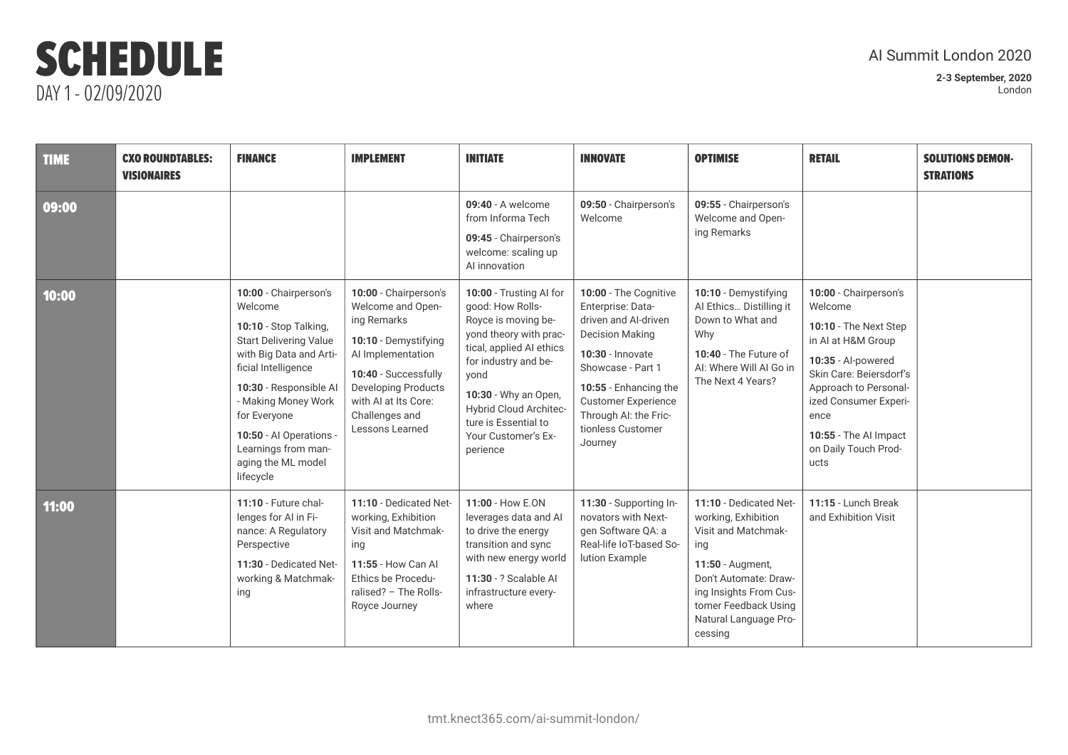| <b>TIME</b> | <b>CXO ROUNDTABLES:</b><br><b>VISIONAIRES</b> | <b>FINANCE</b>                                                                                                                                                                                                                                                                                     | <b>IMPLEMENT</b>                                                                                                                                                                                                          | <b>INITIATE</b>                                                                                                                                                                                                                                                       | <b>INNOVATE</b>                                                                                                                                                                                                                                       | <b>OPTIMISE</b>                                                                                                                                                                                                | <b>RETAIL</b>                                                                                                                                                                                                                                       | <b>SOLUTIONS DEMON-</b><br><b>STRATIONS</b> |
|-------------|-----------------------------------------------|----------------------------------------------------------------------------------------------------------------------------------------------------------------------------------------------------------------------------------------------------------------------------------------------------|---------------------------------------------------------------------------------------------------------------------------------------------------------------------------------------------------------------------------|-----------------------------------------------------------------------------------------------------------------------------------------------------------------------------------------------------------------------------------------------------------------------|-------------------------------------------------------------------------------------------------------------------------------------------------------------------------------------------------------------------------------------------------------|----------------------------------------------------------------------------------------------------------------------------------------------------------------------------------------------------------------|-----------------------------------------------------------------------------------------------------------------------------------------------------------------------------------------------------------------------------------------------------|---------------------------------------------|
| 09:00       |                                               |                                                                                                                                                                                                                                                                                                    |                                                                                                                                                                                                                           | 09:40 - A welcome<br>from Informa Tech<br>09:45 - Chairperson's<br>welcome: scaling up<br>Al innovation                                                                                                                                                               | 09:50 - Chairperson's<br>Welcome                                                                                                                                                                                                                      | 09:55 - Chairperson's<br>Welcome and Open-<br>ing Remarks                                                                                                                                                      |                                                                                                                                                                                                                                                     |                                             |
| 10:00       |                                               | 10:00 - Chairperson's<br>Welcome<br>10:10 - Stop Talking,<br><b>Start Delivering Value</b><br>with Big Data and Arti-<br>ficial Intelligence<br>10:30 - Responsible Al<br>- Making Money Work<br>for Everyone<br>10:50 - Al Operations -<br>Learnings from man-<br>aging the ML model<br>lifecycle | 10:00 - Chairperson's<br>Welcome and Open-<br>ing Remarks<br>10:10 - Demystifying<br>Al Implementation<br>10:40 - Successfully<br><b>Developing Products</b><br>with AI at Its Core:<br>Challenges and<br>Lessons Learned | 10:00 - Trusting Al for<br>good: How Rolls-<br>Royce is moving be-<br>yond theory with prac-<br>tical, applied AI ethics<br>for industry and be-<br>yond<br>10:30 - Why an Open,<br>Hybrid Cloud Architec-<br>ture is Essential to<br>Your Customer's Ex-<br>perience | 10:00 - The Cognitive<br>Enterprise: Data-<br>driven and Al-driven<br><b>Decision Making</b><br>10:30 - Innovate<br>Showcase - Part 1<br>10:55 - Enhancing the<br><b>Customer Experience</b><br>Through AI: the Fric-<br>tionless Customer<br>Journey | 10:10 - Demystifying<br>Al Ethics Distilling it<br>Down to What and<br>Why<br>10:40 - The Future of<br>AI: Where Will AI Go in<br>The Next 4 Years?                                                            | 10:00 - Chairperson's<br>Welcome<br>10:10 - The Next Step<br>in AI at H&M Group<br>10:35 - Al-powered<br>Skin Care: Beiersdorf's<br>Approach to Personal-<br>ized Consumer Experi-<br>ence<br>10:55 - The Al Impact<br>on Daily Touch Prod-<br>ucts |                                             |
| 11:00       |                                               | 11:10 - Future chal-<br>lenges for AI in Fi-<br>nance: A Regulatory<br>Perspective<br>11:30 - Dedicated Net-<br>working & Matchmak-<br>ing                                                                                                                                                         | 11:10 - Dedicated Net-<br>working, Exhibition<br>Visit and Matchmak-<br>ing<br>11:55 - How Can Al<br>Ethics be Procedu-<br>ralised? - The Rolls-<br>Royce Journey                                                         | 11:00 - How E.ON<br>leverages data and AI<br>to drive the energy<br>transition and sync<br>with new energy world<br>11:30 - ? Scalable Al<br>infrastructure every-<br>where                                                                                           | 11:30 - Supporting In-<br>novators with Next-<br>gen Software QA: a<br>Real-life IoT-based So-<br>lution Example                                                                                                                                      | 11:10 - Dedicated Net-<br>working, Exhibition<br>Visit and Matchmak-<br>ing<br>11:50 - Augment,<br>Don't Automate: Draw-<br>ing Insights From Cus-<br>tomer Feedback Using<br>Natural Language Pro-<br>cessing | 11:15 - Lunch Break<br>and Exhibition Visit                                                                                                                                                                                                         |                                             |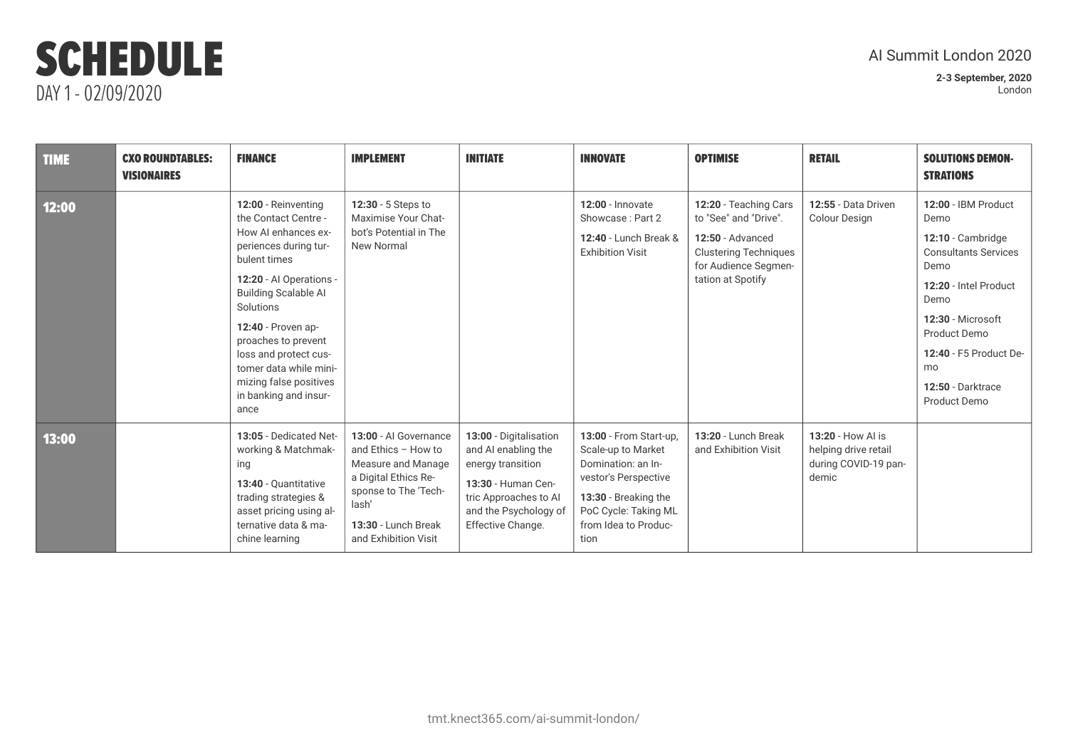| <b>TIME</b> | <b>CXO ROUNDTABLES:</b><br><b>VISIONAIRES</b> | <b>FINANCE</b>                                                                                                                                                                                                                                                                                                                                | <b>IMPLEMENT</b>                                                                                                                                                           | <b>INITIATE</b>                                                                                                                                                 | <b>INNOVATE</b>                                                                                                                                                            | <b>OPTIMISE</b>                                                                                                                                 | <b>RETAIL</b>                                                              | <b>SOLUTIONS DEMON-</b><br><b>STRATIONS</b>                                                                                                                                                                                        |
|-------------|-----------------------------------------------|-----------------------------------------------------------------------------------------------------------------------------------------------------------------------------------------------------------------------------------------------------------------------------------------------------------------------------------------------|----------------------------------------------------------------------------------------------------------------------------------------------------------------------------|-----------------------------------------------------------------------------------------------------------------------------------------------------------------|----------------------------------------------------------------------------------------------------------------------------------------------------------------------------|-------------------------------------------------------------------------------------------------------------------------------------------------|----------------------------------------------------------------------------|------------------------------------------------------------------------------------------------------------------------------------------------------------------------------------------------------------------------------------|
| 12:00       |                                               | 12:00 - Reinventing<br>the Contact Centre -<br>How AI enhances ex-<br>periences during tur-<br>bulent times<br>12:20 - Al Operations -<br><b>Building Scalable AI</b><br>Solutions<br>12:40 - Proven ap-<br>proaches to prevent<br>loss and protect cus-<br>tomer data while mini-<br>mizing false positives<br>in banking and insur-<br>ance | 12:30 - 5 Steps to<br>Maximise Your Chat-<br>bot's Potential in The<br>New Normal                                                                                          |                                                                                                                                                                 | $12:00 -$ Innovate<br>Showcase: Part 2<br>12:40 - Lunch Break &<br><b>Exhibition Visit</b>                                                                                 | 12:20 - Teaching Cars<br>to "See" and "Drive".<br>12:50 - Advanced<br><b>Clustering Techniques</b><br>for Audience Segmen-<br>tation at Spotify | 12:55 - Data Driven<br><b>Colour Design</b>                                | 12:00 - IBM Product<br>Demo<br>12:10 - Cambridge<br><b>Consultants Services</b><br>Demo<br>12:20 - Intel Product<br>Demo<br>12:30 - Microsoft<br>Product Demo<br>12:40 - F5 Product De-<br>mo<br>12:50 - Darktrace<br>Product Demo |
| 13:00       |                                               | 13:05 - Dedicated Net-<br>working & Matchmak-<br>ing<br>13:40 - Quantitative<br>trading strategies &<br>asset pricing using al-<br>ternative data & ma-<br>chine learning                                                                                                                                                                     | 13:00 - Al Governance<br>and Ethics - How to<br>Measure and Manage<br>a Digital Ethics Re-<br>sponse to The 'Tech-<br>lash'<br>13:30 - Lunch Break<br>and Exhibition Visit | 13:00 - Digitalisation<br>and AI enabling the<br>energy transition<br>13:30 - Human Cen-<br>tric Approaches to Al<br>and the Psychology of<br>Effective Change. | 13:00 - From Start-up,<br>Scale-up to Market<br>Domination: an In-<br>vestor's Perspective<br>13:30 - Breaking the<br>PoC Cycle: Taking ML<br>from Idea to Produc-<br>tion | 13:20 - Lunch Break<br>and Exhibition Visit                                                                                                     | 13:20 - How Al is<br>helping drive retail<br>during COVID-19 pan-<br>demic |                                                                                                                                                                                                                                    |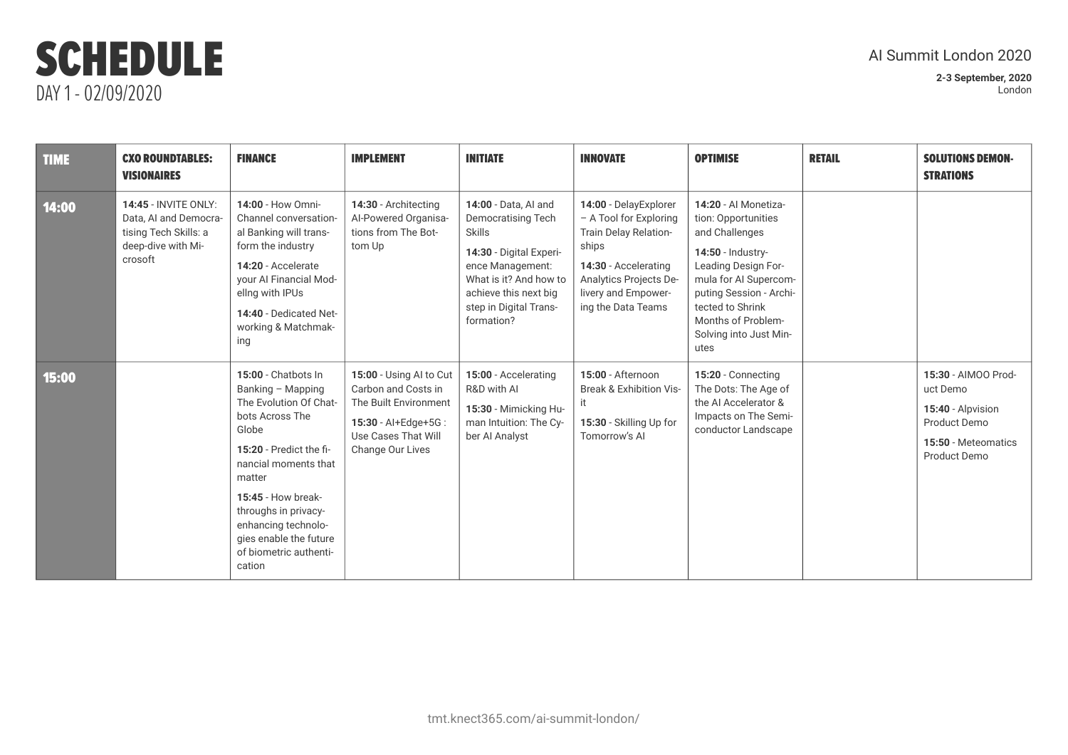| <b>TIME</b> | <b>CXO ROUNDTABLES:</b><br><b>VISIONAIRES</b>                                                                  | <b>FINANCE</b>                                                                                                                                                                                                                                                                                        | <b>IMPLEMENT</b>                                                                                                                          | <b>INITIATE</b>                                                                                                                                                                                       | <b>INNOVATE</b>                                                                                                                                                                  | <b>OPTIMISE</b>                                                                                                                                                                                                                           | <b>RETAIL</b> | <b>SOLUTIONS DEMON-</b><br><b>STRATIONS</b>                                                                 |
|-------------|----------------------------------------------------------------------------------------------------------------|-------------------------------------------------------------------------------------------------------------------------------------------------------------------------------------------------------------------------------------------------------------------------------------------------------|-------------------------------------------------------------------------------------------------------------------------------------------|-------------------------------------------------------------------------------------------------------------------------------------------------------------------------------------------------------|----------------------------------------------------------------------------------------------------------------------------------------------------------------------------------|-------------------------------------------------------------------------------------------------------------------------------------------------------------------------------------------------------------------------------------------|---------------|-------------------------------------------------------------------------------------------------------------|
| 14:00       | <b>14:45 - INVITE ONLY:</b><br>Data, AI and Democra-<br>tising Tech Skills: a<br>deep-dive with Mi-<br>crosoft | 14:00 - How Omni-<br>Channel conversation-<br>al Banking will trans-<br>form the industry<br>14:20 - Accelerate<br>your Al Financial Mod-<br>ellng with IPUs<br>14:40 - Dedicated Net-<br>working & Matchmak-<br>ing                                                                                  | 14:30 - Architecting<br>Al-Powered Organisa-<br>tions from The Bot-<br>tom Up                                                             | 14:00 - Data, AI and<br>Democratising Tech<br><b>Skills</b><br>14:30 - Digital Experi-<br>ence Management:<br>What is it? And how to<br>achieve this next big<br>step in Digital Trans-<br>formation? | 14:00 - DelayExplorer<br>- A Tool for Exploring<br>Train Delay Relation-<br>ships<br>14:30 - Accelerating<br>Analytics Projects De-<br>livery and Empower-<br>ing the Data Teams | 14:20 - Al Monetiza-<br>tion: Opportunities<br>and Challenges<br>14:50 - Industry-<br>Leading Design For-<br>mula for AI Supercom-<br>puting Session - Archi-<br>tected to Shrink<br>Months of Problem-<br>Solving into Just Min-<br>utes |               |                                                                                                             |
| 15:00       |                                                                                                                | 15:00 - Chatbots In<br>Banking - Mapping<br>The Evolution Of Chat-<br>bots Across The<br>Globe<br>15:20 - Predict the fi-<br>nancial moments that<br>matter<br><b>15:45 - How break-</b><br>throughs in privacy-<br>enhancing technolo-<br>gies enable the future<br>of biometric authenti-<br>cation | 15:00 - Using AI to Cut<br>Carbon and Costs in<br>The Built Environment<br>15:30 - Al+Edge+5G:<br>Use Cases That Will<br>Change Our Lives | 15:00 - Accelerating<br>R&D with AI<br>15:30 - Mimicking Hu-<br>man Intuition: The Cy-<br>ber Al Analyst                                                                                              | 15:00 - Afternoon<br><b>Break &amp; Exhibition Vis-</b><br>it<br>15:30 - Skilling Up for<br>Tomorrow's AI                                                                        | 15:20 - Connecting<br>The Dots: The Age of<br>the AI Accelerator &<br>Impacts on The Semi-<br>conductor Landscape                                                                                                                         |               | 15:30 - AIMOO Prod-<br>uct Demo<br>15:40 - Alpvision<br>Product Demo<br>15:50 - Meteomatics<br>Product Demo |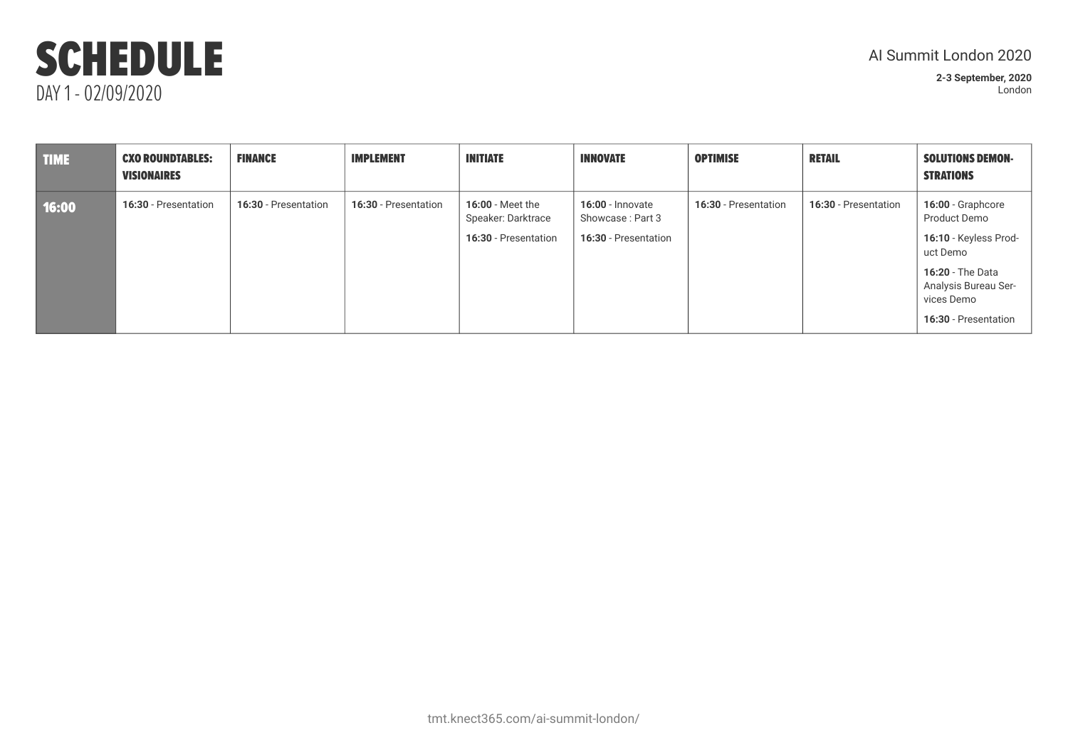## AI Summit London 2020

| <b>TIME</b> | <b>CXO ROUNDTABLES:</b><br><b>VISIONAIRES</b> | <b>FINANCE</b>       | <b>IMPLEMENT</b>     | <b>INITIATE</b>                                                       | <b>INNOVATE</b>                                                     | <b>OPTIMISE</b>      | <b>RETAIL</b>        | <b>SOLUTIONS DEMON-</b><br><b>STRATIONS</b>                                                                                                                     |
|-------------|-----------------------------------------------|----------------------|----------------------|-----------------------------------------------------------------------|---------------------------------------------------------------------|----------------------|----------------------|-----------------------------------------------------------------------------------------------------------------------------------------------------------------|
| 16:00       | 16:30 - Presentation                          | 16:30 - Presentation | 16:30 - Presentation | <b>16:00 - Meet the</b><br>Speaker: Darktrace<br>16:30 - Presentation | <b>16:00 - Innovate</b><br>Showcase: Part 3<br>16:30 - Presentation | 16:30 - Presentation | 16:30 - Presentation | 16:00 - Graphcore<br>Product Demo<br>16:10 - Keyless Prod-<br>uct Demo<br><b>16:20 - The Data</b><br>Analysis Bureau Ser-<br>vices Demo<br>16:30 - Presentation |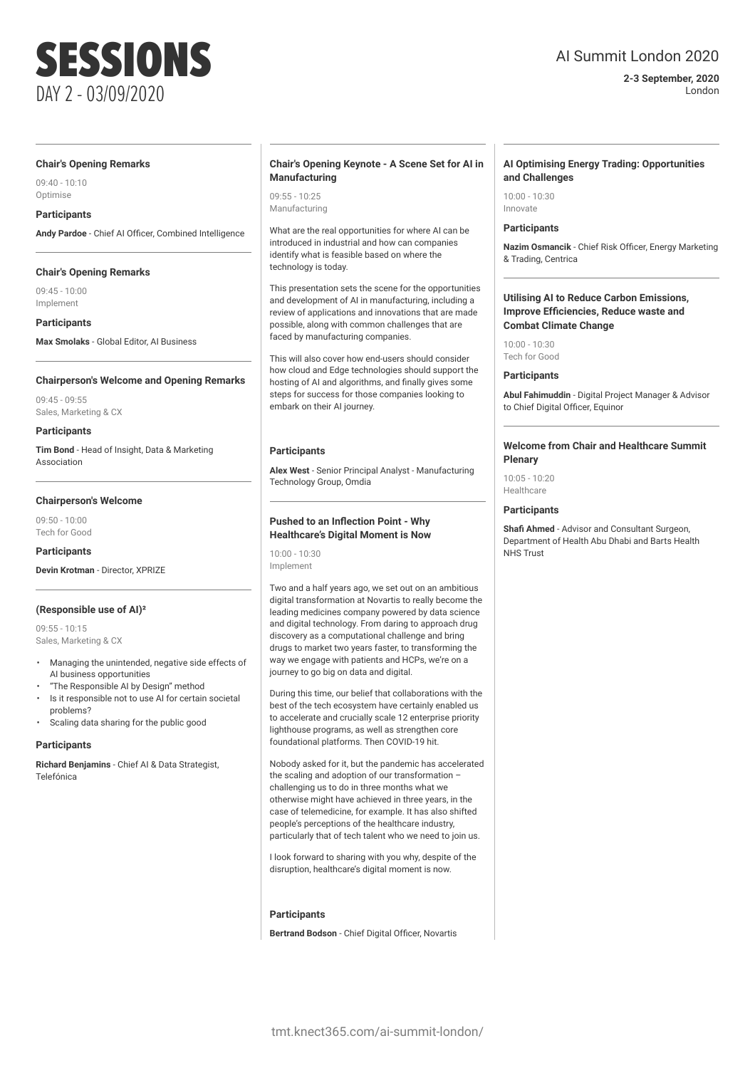## AI Summit London 2020

**2-3 September, 2020** London

### **Chair's Opening Remarks**

09:40 - 10:10 Optimise

### **Participants**

**Andy Pardoe** - Chief AI Officer, Combined Intelligence

### **Chair's Opening Remarks**

09:45 - 10:00 Implement

**Participants**

**Max Smolaks** - Global Editor, AI Business

### **Chairperson's Welcome and Opening Remarks**

09:45 - 09:55 Sales, Marketing & CX

### **Participants**

**Tim Bond** - Head of Insight, Data & Marketing Association

### **Chairperson's Welcome**

09:50 - 10:00 Tech for Good

**Participants**

## **Devin Krotman** - Director, XPRIZE

### **(Responsible use of AI)²**

09:55 - 10:15 Sales, Marketing & CX

- Managing the unintended, negative side effects of AI business opportunities
- "The Responsible AI by Design" method
- Is it responsible not to use AI for certain societal problems?
- Scaling data sharing for the public good

### **Participants**

**Richard Benjamins** - Chief AI & Data Strategist, Telefónica

### **Chair's Opening Keynote - A Scene Set for AI in Manufacturing**

09:55 - 10:25 Manufacturing

What are the real opportunities for where AI can be introduced in industrial and how can companies identify what is feasible based on where the technology is today.

This presentation sets the scene for the opportunities and development of AI in manufacturing, including a review of applications and innovations that are made possible, along with common challenges that are faced by manufacturing companies.

This will also cover how end-users should consider how cloud and Edge technologies should support the hosting of AI and algorithms, and finally gives some steps for success for those companies looking to embark on their AI journey.

### **Participants**

**Alex West** - Senior Principal Analyst - Manufacturing Technology Group, Omdia

### **Pushed to an Inflection Point - Why Healthcare's Digital Moment is Now**

10:00 - 10:30 Implement

Two and a half years ago, we set out on an ambitious digital transformation at Novartis to really become the leading medicines company powered by data science and digital technology. From daring to approach drug discovery as a computational challenge and bring drugs to market two years faster, to transforming the way we engage with patients and HCPs, we're on a journey to go big on data and digital.

During this time, our belief that collaborations with the best of the tech ecosystem have certainly enabled us to accelerate and crucially scale 12 enterprise priority lighthouse programs, as well as strengthen core foundational platforms. Then COVID-19 hit.

Nobody asked for it, but the pandemic has accelerated the scaling and adoption of our transformation – challenging us to do in three months what we otherwise might have achieved in three years, in the case of telemedicine, for example. It has also shifted people's perceptions of the healthcare industry, particularly that of tech talent who we need to join us.

I look forward to sharing with you why, despite of the disruption, healthcare's digital moment is now.

### **Participants**

**Bertrand Bodson** - Chief Digital Officer, Novartis

### **AI Optimising Energy Trading: Opportunities and Challenges**

10:00 - 10:30 Innovate

### **Participants**

**Nazim Osmancik** - Chief Risk Officer, Energy Marketing & Trading, Centrica

### **Utilising AI to Reduce Carbon Emissions, Improve Efficiencies, Reduce waste and Combat Climate Change**

10:00 - 10:30 Tech for Good

### **Participants**

**Abul Fahimuddin** - Digital Project Manager & Advisor to Chief Digital Officer, Equinor

### **Welcome from Chair and Healthcare Summit Plenary**

10:05 - 10:20 Healthcare

### **Participants**

**Shafi Ahmed** - Advisor and Consultant Surgeon, Department of Health Abu Dhabi and Barts Health NHS Trust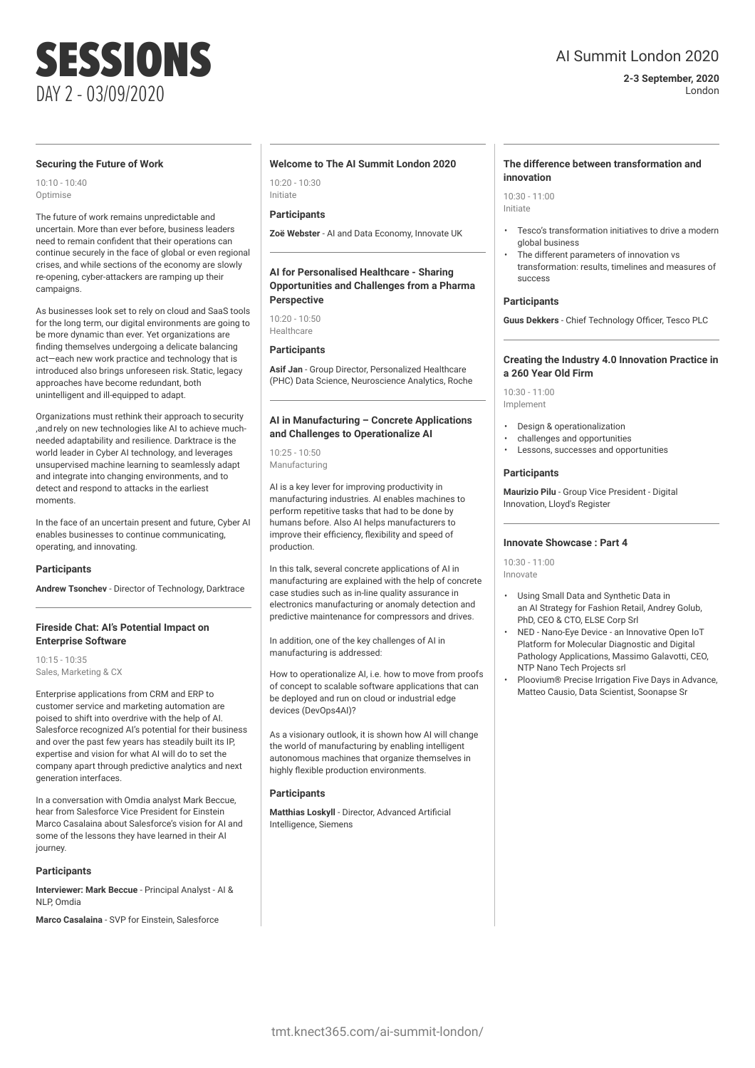## AI Summit London 2020

### **2-3 September, 2020** London

### **Securing the Future of Work**

10:10 - 10:40 Optimise

The future of work remains unpredictable and uncertain. More than ever before, business leaders need to remain confident that their operations can continue securely in the face of global or even regional crises, and while sections of the economy are slowly re-opening, cyber-attackers are ramping up their campaigns.

As businesses look set to rely on cloud and SaaS tools for the long term, our digital environments are going to be more dynamic than ever. Yet organizations are finding themselves undergoing a delicate balancing act—each new work practice and technology that is introduced also brings unforeseen risk.Static, legacy approaches have become redundant, both unintelligent and ill-equipped to adapt.

Organizations must rethink their approach tosecurity ,andrely on new technologies like AI to achieve muchneeded adaptability and resilience. Darktrace is the world leader in Cyber AI technology, and leverages unsupervised machine learning to seamlessly adapt and integrate into changing environments, and to detect and respond to attacks in the earliest moments.

In the face of an uncertain present and future, Cyber AI enables businesses to continue communicating, operating, and innovating.

### **Participants**

**Andrew Tsonchev** - Director of Technology, Darktrace

### **Fireside Chat: AI's Potential Impact on Enterprise Software**

10:15 - 10:35 Sales, Marketing & CX

Enterprise applications from CRM and ERP to customer service and marketing automation are poised to shift into overdrive with the help of AI. Salesforce recognized AI's potential for their business and over the past few years has steadily built its IP, expertise and vision for what AI will do to set the company apart through predictive analytics and next generation interfaces.

In a conversation with Omdia analyst Mark Beccue, hear from Salesforce Vice President for Einstein Marco Casalaina about Salesforce's vision for AI and some of the lessons they have learned in their AI journey.

### **Participants**

**Interviewer: Mark Beccue** - Principal Analyst - AI & NLP, Omdia

**Marco Casalaina** - SVP for Einstein, Salesforce

### **Welcome to The AI Summit London 2020**

10:20 - 10:30 Initiate

### **Participants**

**Zoë Webster** - AI and Data Economy, Innovate UK

### **AI for Personalised Healthcare - Sharing Opportunities and Challenges from a Pharma Perspective**

10:20 - 10:50 Healthcare

### **Participants**

**Asif Jan** - Group Director, Personalized Healthcare (PHC) Data Science, Neuroscience Analytics, Roche

### **AI in Manufacturing – Concrete Applications and Challenges to Operationalize AI**

10:25 - 10:50 Manufacturing

AI is a key lever for improving productivity in manufacturing industries. AI enables machines to perform repetitive tasks that had to be done by humans before. Also AI helps manufacturers to improve their efficiency, flexibility and speed of production.

In this talk, several concrete applications of AI in manufacturing are explained with the help of concrete case studies such as in-line quality assurance in electronics manufacturing or anomaly detection and predictive maintenance for compressors and drives.

In addition, one of the key challenges of AI in manufacturing is addressed:

How to operationalize AI, i.e. how to move from proofs of concept to scalable software applications that can be deployed and run on cloud or industrial edge devices (DevOps4AI)?

As a visionary outlook, it is shown how AI will change the world of manufacturing by enabling intelligent autonomous machines that organize themselves in highly flexible production environments.

### **Participants**

**Matthias Loskyll** - Director, Advanced Artificial Intelligence, Siemens

### **The difference between transformation and innovation**

 $10.30 - 11.00$ Initiate

- Tesco's transformation initiatives to drive a modern global business
- The different parameters of innovation vs transformation: results, timelines and measures of success

### **Participants**

**Guus Dekkers** - Chief Technology Officer, Tesco PLC

### **Creating the Industry 4.0 Innovation Practice in a 260 Year Old Firm**

10:30 - 11:00 Implement

- Design & operationalization
- challenges and opportunities
- Lessons, successes and opportunities

### **Participants**

**Maurizio Pilu** - Group Vice President - Digital Innovation, Lloyd's Register

### **Innovate Showcase : Part 4**

10:30 - 11:00 Innovate

- Using Small Data and Synthetic Data in an AI Strategy for Fashion Retail, Andrey Golub, PhD, CEO & CTO, ELSE Corp Srl
- NED Nano-Eye Device an Innovative Open IoT Platform for Molecular Diagnostic and Digital Pathology Applications, Massimo Galavotti, CEO, NTP Nano Tech Projects srl
- Ploovium® Precise Irrigation Five Days in Advance, Matteo Causio, Data Scientist, Soonapse Sr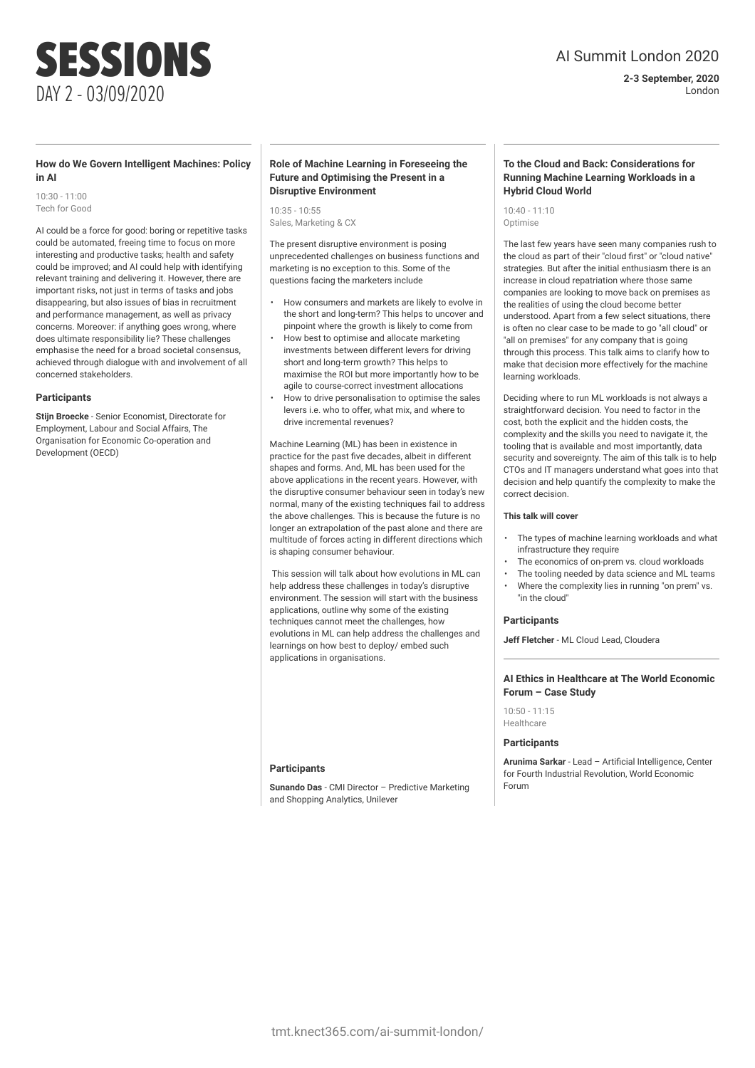### **2-3 September, 2020** London

## SESSIONS DAY 2 - 03/09/2020

### **How do We Govern Intelligent Machines: Policy in AI**

10:30 - 11:00 Tech for Good

AI could be a force for good: boring or repetitive tasks could be automated, freeing time to focus on more interesting and productive tasks; health and safety could be improved; and AI could help with identifying relevant training and delivering it. However, there are important risks, not just in terms of tasks and jobs disappearing, but also issues of bias in recruitment and performance management, as well as privacy concerns. Moreover: if anything goes wrong, where does ultimate responsibility lie? These challenges emphasise the need for a broad societal consensus, achieved through dialogue with and involvement of all concerned stakeholders.

### **Participants**

**Stijn Broecke** - Senior Economist, Directorate for Employment, Labour and Social Affairs, The Organisation for Economic Co-operation and Development (OECD)

### **Role of Machine Learning in Foreseeing the Future and Optimising the Present in a Disruptive Environment**

10:35 - 10:55 Sales, Marketing & CX

The present disruptive environment is posing unprecedented challenges on business functions and marketing is no exception to this. Some of the questions facing the marketers include

- How consumers and markets are likely to evolve in the short and long-term? This helps to uncover and pinpoint where the growth is likely to come from
- How best to optimise and allocate marketing investments between different levers for driving short and long-term growth? This helps to maximise the ROI but more importantly how to be agile to course-correct investment allocations
- How to drive personalisation to optimise the sales levers i.e. who to offer, what mix, and where to drive incremental revenues?

Machine Learning (ML) has been in existence in practice for the past five decades, albeit in different shapes and forms. And, ML has been used for the above applications in the recent years. However, with the disruptive consumer behaviour seen in today's new normal, many of the existing techniques fail to address the above challenges. This is because the future is no longer an extrapolation of the past alone and there are multitude of forces acting in different directions which is shaping consumer behaviour.

This session will talk about how evolutions in ML can help address these challenges in today's disruptive environment. The session will start with the business applications, outline why some of the existing techniques cannot meet the challenges, how evolutions in ML can help address the challenges and learnings on how best to deploy/ embed such applications in organisations.

### **Participants**

**Sunando Das** - CMI Director – Predictive Marketing and Shopping Analytics, Unilever

### **To the Cloud and Back: Considerations for Running Machine Learning Workloads in a Hybrid Cloud World**

10:40 - 11:10 Optimise

The last few years have seen many companies rush to the cloud as part of their "cloud first" or "cloud native" strategies. But after the initial enthusiasm there is an increase in cloud repatriation where those same companies are looking to move back on premises as the realities of using the cloud become better understood. Apart from a few select situations, there is often no clear case to be made to go "all cloud" or "all on premises" for any company that is going through this process. This talk aims to clarify how to make that decision more effectively for the machine learning workloads.

Deciding where to run ML workloads is not always a straightforward decision. You need to factor in the cost, both the explicit and the hidden costs, the complexity and the skills you need to navigate it, the tooling that is available and most importantly, data security and sovereignty. The aim of this talk is to help CTOs and IT managers understand what goes into that decision and help quantify the complexity to make the correct decision.

### **This talk will cover**

- The types of machine learning workloads and what infrastructure they require
- The economics of on-prem vs. cloud workloads
- The tooling needed by data science and ML teams
- Where the complexity lies in running "on prem" vs. "in the cloud"

### **Participants**

**Jeff Fletcher** - ML Cloud Lead, Cloudera

### **AI Ethics in Healthcare at The World Economic Forum – Case Study**

10:50 - 11:15 Healthcare

### **Participants**

**Arunima Sarkar** - Lead – Artificial Intelligence, Center for Fourth Industrial Revolution, World Economic Forum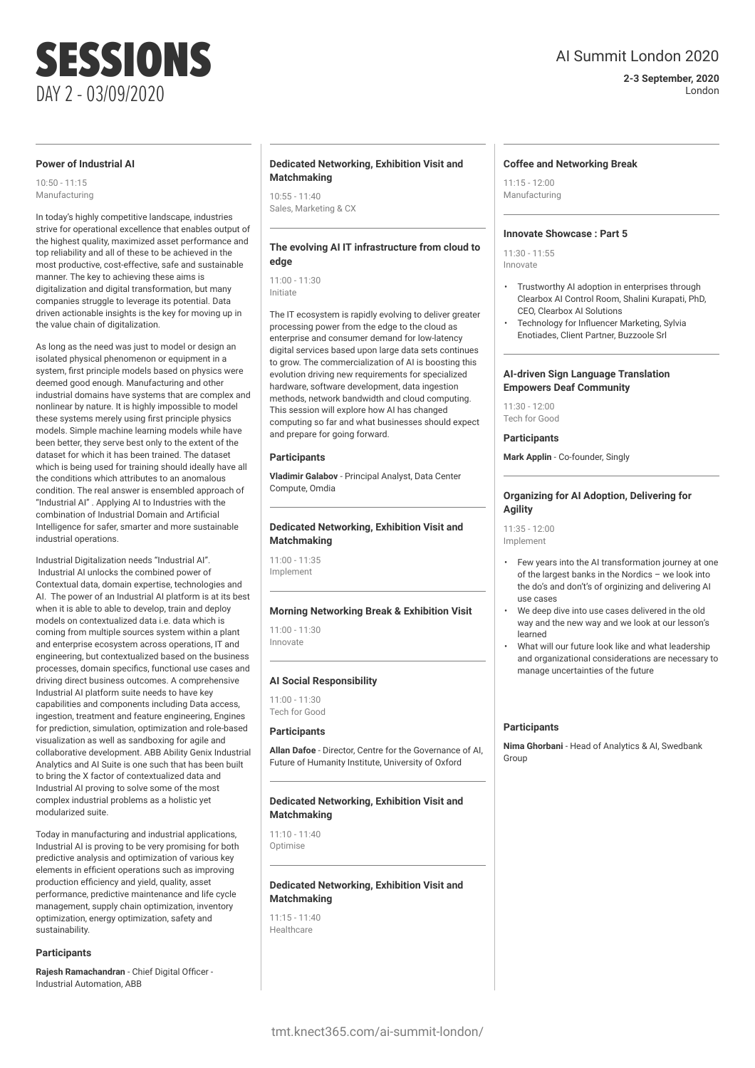**2-3 September, 2020** London

### **Power of Industrial AI**

DAY 2 - 03/09/2020

SESSIONS

10:50 - 11:15 Manufacturing

In today's highly competitive landscape, industries strive for operational excellence that enables output of the highest quality, maximized asset performance and top reliability and all of these to be achieved in the most productive, cost-effective, safe and sustainable manner. The key to achieving these aims is digitalization and digital transformation, but many companies struggle to leverage its potential. Data driven actionable insights is the key for moving up in the value chain of digitalization.

As long as the need was just to model or design an isolated physical phenomenon or equipment in a system, first principle models based on physics were deemed good enough. Manufacturing and other industrial domains have systems that are complex and nonlinear by nature. It is highly impossible to model these systems merely using first principle physics models. Simple machine learning models while have been better, they serve best only to the extent of the dataset for which it has been trained. The dataset which is being used for training should ideally have all the conditions which attributes to an anomalous condition. The real answer is ensembled approach of "Industrial AI" . Applying AI to Industries with the combination of Industrial Domain and Artificial Intelligence for safer, smarter and more sustainable industrial operations.

Industrial Digitalization needs "Industrial AI". Industrial AI unlocks the combined power of Contextual data, domain expertise, technologies and AI. The power of an Industrial AI platform is at its best when it is able to able to develop, train and deploy models on contextualized data i.e. data which is coming from multiple sources system within a plant and enterprise ecosystem across operations, IT and engineering, but contextualized based on the business processes, domain specifics, functional use cases and driving direct business outcomes. A comprehensive Industrial AI platform suite needs to have key capabilities and components including Data access, ingestion, treatment and feature engineering, Engines for prediction, simulation, optimization and role-based visualization as well as sandboxing for agile and collaborative development. ABB Ability Genix Industrial Analytics and AI Suite is one such that has been built to bring the X factor of contextualized data and Industrial AI proving to solve some of the most complex industrial problems as a holistic yet modularized suite.

Today in manufacturing and industrial applications, Industrial AI is proving to be very promising for both predictive analysis and optimization of various key elements in efficient operations such as improving production efficiency and yield, quality, asset performance, predictive maintenance and life cycle management, supply chain optimization, inventory optimization, energy optimization, safety and sustainability.

### **Participants**

**Rajesh Ramachandran** - Chief Digital Officer - Industrial Automation, ABB

### **Dedicated Networking, Exhibition Visit and Matchmaking**

 $10:55 - 11:40$ Sales, Marketing & CX

### **The evolving AI IT infrastructure from cloud to edge**

11:00 - 11:30 Initiate

The IT ecosystem is rapidly evolving to deliver greater processing power from the edge to the cloud as enterprise and consumer demand for low-latency digital services based upon large data sets continues to grow. The commercialization of AI is boosting this evolution driving new requirements for specialized hardware, software development, data ingestion methods, network bandwidth and cloud computing. This session will explore how AI has changed computing so far and what businesses should expect and prepare for going forward.

### **Participants**

**Vladimir Galabov** - Principal Analyst, Data Center Compute, Omdia

### **Dedicated Networking, Exhibition Visit and Matchmaking**

11:00 - 11:35 Implement

### **Morning Networking Break & Exhibition Visit**

11:00 - 11:30 Innovate

### **AI Social Responsibility**

11:00 - 11:30 Tech for Good

### **Participants**

**Allan Dafoe** - Director, Centre for the Governance of AI, Future of Humanity Institute, University of Oxford

### **Dedicated Networking, Exhibition Visit and Matchmaking**

11:10 - 11:40 Optimise

### **Dedicated Networking, Exhibition Visit and Matchmaking**

11:15 - 11:40 **Healthcare** 

### **Coffee and Networking Break**

 $11:15 - 12:00$ Manufacturing

### **Innovate Showcase : Part 5**

11:30 - 11:55 Innovate

- Trustworthy AI adoption in enterprises through Clearbox AI Control Room, Shalini Kurapati, PhD, CEO, Clearbox AI Solutions
- Technology for Influencer Marketing, Sylvia Enotiades, Client Partner, Buzzoole Srl

### **AI-driven Sign Language Translation Empowers Deaf Community**

11:30 - 12:00 Tech for Good

### **Participants**

**Mark Applin** - Co-founder, Singly

### **Organizing for AI Adoption, Delivering for Agility**

11:35 - 12:00 Implement

- Few years into the AI transformation journey at one of the largest banks in the Nordics – we look into the do's and don't's of orginizing and delivering AI use cases
- We deep dive into use cases delivered in the old way and the new way and we look at our lesson's learned
- What will our future look like and what leadership and organizational considerations are necessary to manage uncertainties of the future

### **Participants**

**Nima Ghorbani** - Head of Analytics & AI, Swedbank Group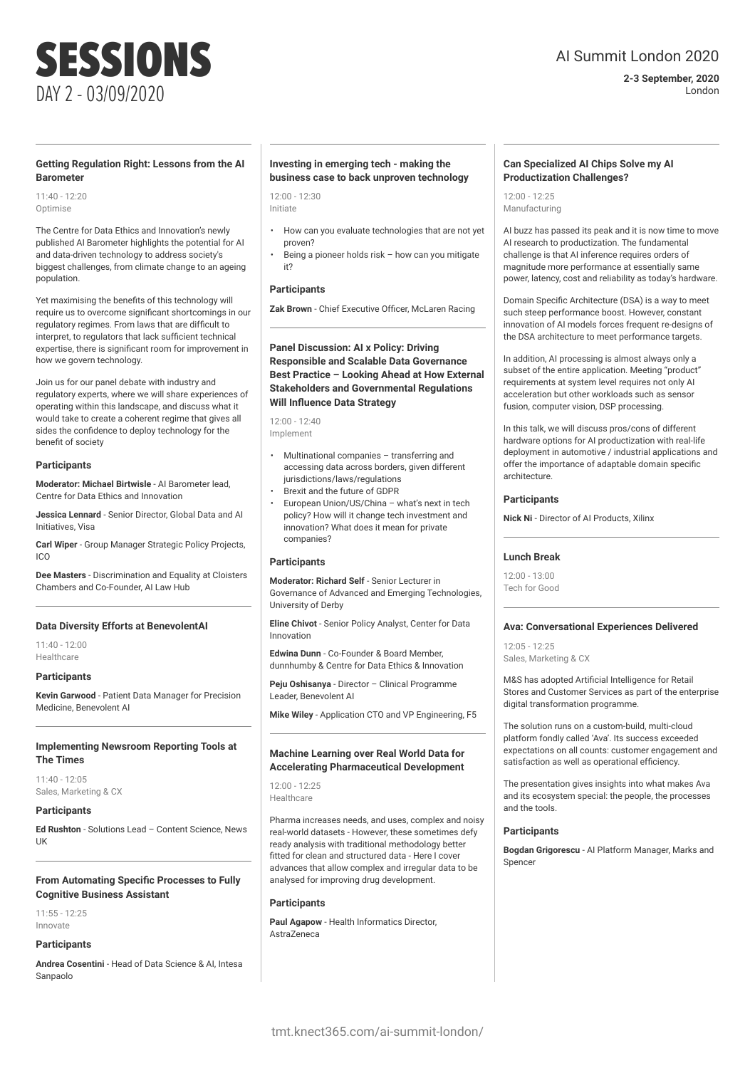## AI Summit London 2020

**2-3 September, 2020** London

### **Getting Regulation Right: Lessons from the AI Barometer**

11:40 - 12:20 Optimise

The Centre for Data Ethics and Innovation's newly published AI Barometer highlights the potential for AI and data-driven technology to address society's biggest challenges, from climate change to an ageing population.

Yet maximising the benefits of this technology will require us to overcome significant shortcomings in our regulatory regimes. From laws that are difficult to interpret, to regulators that lack sufficient technical expertise, there is significant room for improvement in how we govern technology.

Join us for our panel debate with industry and regulatory experts, where we will share experiences of operating within this landscape, and discuss what it would take to create a coherent regime that gives all sides the confidence to deploy technology for the benefit of society

### **Participants**

**Moderator: Michael Birtwisle** - AI Barometer lead, Centre for Data Ethics and Innovation

**Jessica Lennard** - Senior Director, Global Data and AI Initiatives, Visa

**Carl Wiper** - Group Manager Strategic Policy Projects, ICO

**Dee Masters** - Discrimination and Equality at Cloisters Chambers and Co-Founder, AI Law Hub

### **Data Diversity Efforts at BenevolentAI**

11:40 - 12:00 Healthcare

### **Participants**

**Kevin Garwood** - Patient Data Manager for Precision Medicine, Benevolent AI

### **Implementing Newsroom Reporting Tools at The Times**

11:40 - 12:05 Sales, Marketing & CX

### **Participants**

**Ed Rushton** - Solutions Lead – Content Science, News UK

### **From Automating Specific Processes to Fully Cognitive Business Assistant**

 $11.55 - 12.25$ Innovate

### **Participants**

**Andrea Cosentini** - Head of Data Science & AI, Intesa Sanpaolo

### **Investing in emerging tech - making the business case to back unproven technology**

 $12:00 - 12:30$ Initiate

- How can you evaluate technologies that are not yet proven?
- Being a pioneer holds risk how can you mitigate it?

### **Participants**

**Zak Brown** - Chief Executive Officer, McLaren Racing

**Panel Discussion: AI x Policy: Driving Responsible and Scalable Data Governance Best Practice – Looking Ahead at How External Stakeholders and Governmental Regulations Will Influence Data Strategy**

12:00 - 12:40 Implement

- Multinational companies transferring and accessing data across borders, given different jurisdictions/laws/regulations
- Brexit and the future of GDPR
- European Union/US/China what's next in tech policy? How will it change tech investment and innovation? What does it mean for private companies?

### **Participants**

**Moderator: Richard Self** - Senior Lecturer in Governance of Advanced and Emerging Technologies, University of Derby

**Eline Chivot** - Senior Policy Analyst, Center for Data Innovation

**Edwina Dunn** - Co-Founder & Board Member, dunnhumby & Centre for Data Ethics & Innovation

**Peju Oshisanya** - Director – Clinical Programme Leader, Benevolent AI

**Mike Wiley** - Application CTO and VP Engineering, F5

### **Machine Learning over Real World Data for Accelerating Pharmaceutical Development**

12:00 - 12:25 Healthcare

Pharma increases needs, and uses, complex and noisy real-world datasets - However, these sometimes defy ready analysis with traditional methodology better fitted for clean and structured data - Here I cover advances that allow complex and irregular data to be analysed for improving drug development.

### **Participants**

**Paul Agapow** - Health Informatics Director, AstraZeneca

### **Can Specialized AI Chips Solve my AI Productization Challenges?**

 $12:00 - 12:25$ Manufacturing

AI buzz has passed its peak and it is now time to move AI research to productization. The fundamental challenge is that AI inference requires orders of magnitude more performance at essentially same power, latency, cost and reliability as today's hardware.

Domain Specific Architecture (DSA) is a way to meet such steep performance boost. However, constant innovation of AI models forces frequent re-designs of the DSA architecture to meet performance targets.

In addition, AI processing is almost always only a subset of the entire application. Meeting "product" requirements at system level requires not only AI acceleration but other workloads such as sensor fusion, computer vision, DSP processing.

In this talk, we will discuss pros/cons of different hardware options for AI productization with real-life deployment in automotive / industrial applications and offer the importance of adaptable domain specific architecture.

### **Participants**

**Nick Ni** - Director of AI Products, Xilinx

### **Lunch Break**

 $12:00 - 12:00$ Tech for Good

### **Ava: Conversational Experiences Delivered**

12:05 - 12:25 Sales, Marketing & CX

M&S has adopted Artificial Intelligence for Retail Stores and Customer Services as part of the enterprise digital transformation programme.

The solution runs on a custom-build, multi-cloud platform fondly called 'Ava'. Its success exceeded expectations on all counts: customer engagement and satisfaction as well as operational efficiency.

The presentation gives insights into what makes Ava and its ecosystem special: the people, the processes and the tools.

### **Participants**

**Bogdan Grigorescu** - AI Platform Manager, Marks and Spencer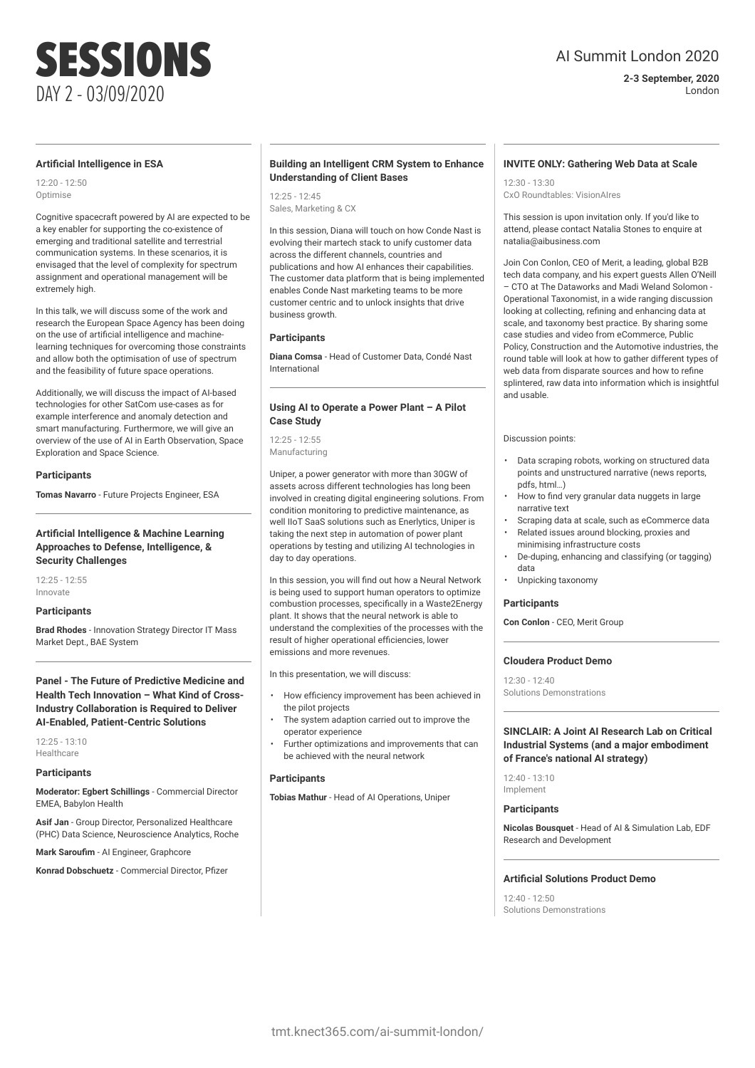### **2-3 September, 2020** London

# SESSIONS DAY 2 - 03/09/2020

### **Artificial Intelligence in ESA**

12:20 - 12:50 Optimise

Cognitive spacecraft powered by AI are expected to be a key enabler for supporting the co-existence of emerging and traditional satellite and terrestrial communication systems. In these scenarios, it is envisaged that the level of complexity for spectrum assignment and operational management will be extremely high.

In this talk, we will discuss some of the work and research the European Space Agency has been doing on the use of artificial intelligence and machinelearning techniques for overcoming those constraints and allow both the optimisation of use of spectrum and the feasibility of future space operations.

Additionally, we will discuss the impact of AI-based technologies for other SatCom use-cases as for example interference and anomaly detection and smart manufacturing. Furthermore, we will give an overview of the use of AI in Earth Observation, Space Exploration and Space Science.

### **Participants**

**Tomas Navarro** - Future Projects Engineer, ESA

### **Artificial Intelligence & Machine Learning Approaches to Defense, Intelligence, & Security Challenges**

 $12.25 - 12.55$ Innovate

### **Participants**

**Brad Rhodes** - Innovation Strategy Director IT Mass Market Dept., BAE System

### **Panel - The Future of Predictive Medicine and Health Tech Innovation – What Kind of Cross-Industry Collaboration is Required to Deliver AI-Enabled, Patient-Centric Solutions**

 $12:25 - 13:10$ Healthcare

### **Participants**

**Moderator: Egbert Schillings** - Commercial Director EMEA, Babylon Health

**Asif Jan** - Group Director, Personalized Healthcare (PHC) Data Science, Neuroscience Analytics, Roche

**Mark Saroufim** - AI Engineer, Graphcore

**Konrad Dobschuetz** - Commercial Director, Pfizer

### **Building an Intelligent CRM System to Enhance Understanding of Client Bases**

 $12.25 - 12.45$ Sales, Marketing & CX

In this session, Diana will touch on how Conde Nast is evolving their martech stack to unify customer data across the different channels, countries and publications and how AI enhances their capabilities. The customer data platform that is being implemented enables Conde Nast marketing teams to be more customer centric and to unlock insights that drive business growth.

### **Participants**

**Diana Comsa** - Head of Customer Data, Condé Nast International

### **Using AI to Operate a Power Plant – A Pilot Case Study**

12:25 - 12:55 Manufacturing

Uniper, a power generator with more than 30GW of assets across different technologies has long been involved in creating digital engineering solutions. From condition monitoring to predictive maintenance, as well IIoT SaaS solutions such as Enerlytics, Uniper is taking the next step in automation of power plant operations by testing and utilizing AI technologies in day to day operations.

In this session, you will find out how a Neural Network is being used to support human operators to optimize combustion processes, specifically in a Waste2Energy plant. It shows that the neural network is able to understand the complexities of the processes with the result of higher operational efficiencies, lower emissions and more revenues.

In this presentation, we will discuss:

- How efficiency improvement has been achieved in the pilot projects
- The system adaption carried out to improve the operator experience
- Further optimizations and improvements that can be achieved with the neural network

### **Participants**

**Tobias Mathur** - Head of AI Operations, Uniper

### **INVITE ONLY: Gathering Web Data at Scale**

12:30 - 13:30 CxO Roundtables: VisionAIres

This session is upon invitation only. If you'd like to attend, please contact Natalia Stones to enquire at natalia@aibusiness.com

Join Con Conlon, CEO of Merit, a leading, global B2B tech data company, and his expert guests Allen O'Neill – CTO at The Dataworks and Madi Weland Solomon - Operational Taxonomist, in a wide ranging discussion looking at collecting, refining and enhancing data at scale, and taxonomy best practice. By sharing some case studies and video from eCommerce, Public Policy, Construction and the Automotive industries, the round table will look at how to gather different types of web data from disparate sources and how to refine splintered, raw data into information which is insightful and usable.

Discussion points:

- Data scraping robots, working on structured data points and unstructured narrative (news reports, pdfs, html…)
- How to find very granular data nuggets in large narrative text
- Scraping data at scale, such as eCommerce data • Related issues around blocking, proxies and
- minimising infrastructure costs
- De-duping, enhancing and classifying (or tagging) data
- Unpicking taxonomy

### **Participants**

**Con Conlon** - CEO, Merit Group

### **Cloudera Product Demo**

12:30 - 12:40 Solutions Demonstrations

### **SINCLAIR: A Joint AI Research Lab on Critical Industrial Systems (and a major embodiment of France's national AI strategy)**

 $12:40 - 13:10$ Implement

### **Participants**

**Nicolas Bousquet** - Head of AI & Simulation Lab, EDF Research and Development

### **Artificial Solutions Product Demo**

12:40 - 12:50 Solutions Demonstrations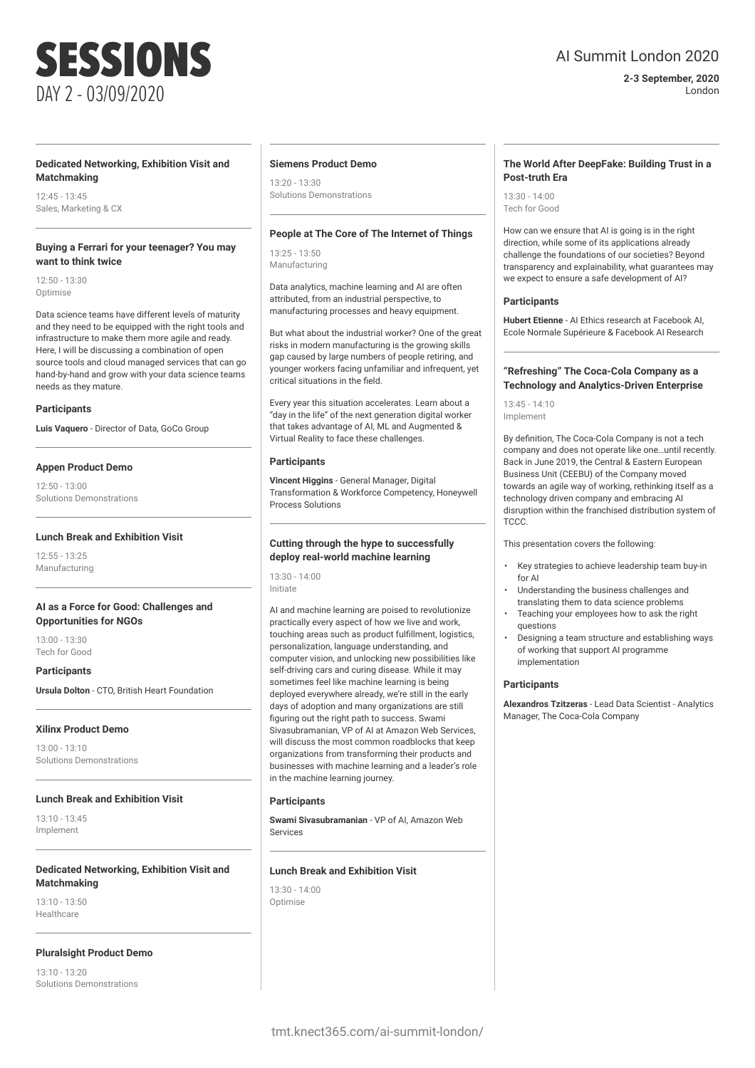### **Dedicated Networking, Exhibition Visit and Matchmaking**

 $12.45 - 13.45$ Sales, Marketing & CX

### **Buying a Ferrari for your teenager? You may want to think twice**

 $12.50 - 13.30$ Optimise

Data science teams have different levels of maturity and they need to be equipped with the right tools and infrastructure to make them more agile and ready. Here, I will be discussing a combination of open source tools and cloud managed services that can go hand-by-hand and grow with your data science teams needs as they mature.

### **Participants**

**Luis Vaquero** - Director of Data, GoCo Group

### **Appen Product Demo**

 $12:50 - 13:00$ Solutions Demonstrations

### **Lunch Break and Exhibition Visit**

 $12.55 - 13.25$ Manufacturing

### **AI as a Force for Good: Challenges and Opportunities for NGOs**

13:00 - 13:30 Tech for Good

**Participants**

**Ursula Dolton** - CTO, British Heart Foundation

### **Xilinx Product Demo**

13:00 - 13:10 Solutions Demonstrations

### **Lunch Break and Exhibition Visit**

13:10 - 13:45 Implement

### **Dedicated Networking, Exhibition Visit and Matchmaking**

13:10 - 13:50 Healthcare

### **Pluralsight Product Demo**

13:10 - 13:20 Solutions Demonstrations

### **Siemens Product Demo**

13:20 - 13:30 Solutions Demonstrations

### **People at The Core of The Internet of Things**

13:25 - 13:50 Manufacturing

Data analytics, machine learning and AI are often attributed, from an industrial perspective, to manufacturing processes and heavy equipment.

But what about the industrial worker? One of the great risks in modern manufacturing is the growing skills gap caused by large numbers of people retiring, and younger workers facing unfamiliar and infrequent, yet critical situations in the field.

Every year this situation accelerates. Learn about a "day in the life" of the next generation digital worker that takes advantage of AI, ML and Augmented & Virtual Reality to face these challenges.

### **Participants**

**Vincent Higgins** - General Manager, Digital Transformation & Workforce Competency, Honeywell Process Solutions

### **Cutting through the hype to successfully deploy real-world machine learning**

13:30 - 14:00 Initiate

AI and machine learning are poised to revolutionize practically every aspect of how we live and work, touching areas such as product fulfillment, logistics, personalization, language understanding, and computer vision, and unlocking new possibilities like self-driving cars and curing disease. While it may sometimes feel like machine learning is being deployed everywhere already, we're still in the early days of adoption and many organizations are still figuring out the right path to success. Swami Sivasubramanian, VP of AI at Amazon Web Services, will discuss the most common roadblocks that keep organizations from transforming their products and businesses with machine learning and a leader's role in the machine learning journey.

### **Participants**

**Swami Sivasubramanian** - VP of AI, Amazon Web Services

### **Lunch Break and Exhibition Visit**

 $13.20 - 14.00$ **Optimise** 

## AI Summit London 2020

**2-3 September, 2020** London

### **The World After DeepFake: Building Trust in a Post-truth Era**

13:30 - 14:00 Tech for Good

How can we ensure that AI is going is in the right direction, while some of its applications already challenge the foundations of our societies? Beyond transparency and explainability, what guarantees may we expect to ensure a safe development of AI?

### **Participants**

**Hubert Etienne** - AI Ethics research at Facebook AI, Ecole Normale Supérieure & Facebook AI Research

### **"Refreshing" The Coca-Cola Company as a Technology and Analytics-Driven Enterprise**

13:45 - 14:10 Implement

By definition, The Coca-Cola Company is not a tech company and does not operate like one…until recently. Back in June 2019, the Central & Eastern European Business Unit (CEEBU) of the Company moved towards an agile way of working, rethinking itself as a technology driven company and embracing AI disruption within the franchised distribution system of TCCC.

This presentation covers the following:

- Key strategies to achieve leadership team buy-in for AI
- Understanding the business challenges and translating them to data science problems
- Teaching your employees how to ask the right questions
- Designing a team structure and establishing ways of working that support AI programme implementation

### **Participants**

**Alexandros Tzitzeras** - Lead Data Scientist - Analytics Manager, The Coca-Cola Company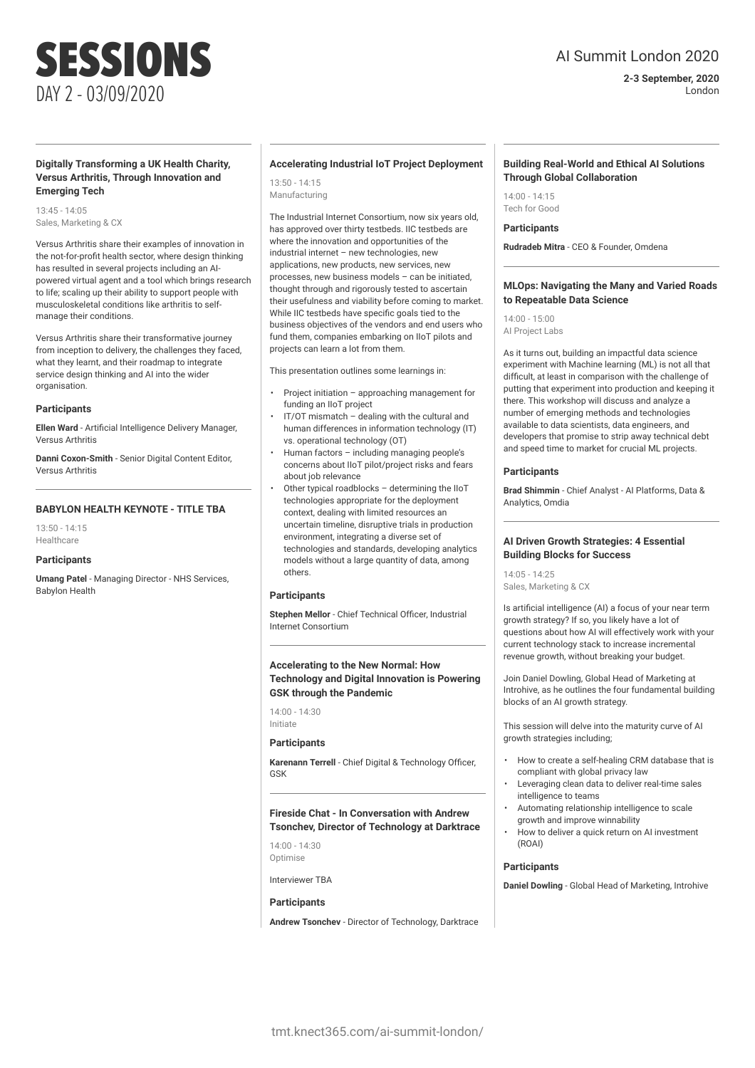### **2-3 September, 2020** London

### **Digitally Transforming a UK Health Charity, Versus Arthritis, Through Innovation and Emerging Tech**

SESSIONS

DAY 2 - 03/09/2020

13:45 - 14:05 Sales, Marketing & CX

Versus Arthritis share their examples of innovation in the not-for-profit health sector, where design thinking has resulted in several projects including an AIpowered virtual agent and a tool which brings research to life; scaling up their ability to support people with musculoskeletal conditions like arthritis to selfmanage their conditions.

Versus Arthritis share their transformative journey from inception to delivery, the challenges they faced, what they learnt, and their roadmap to integrate service design thinking and AI into the wider organisation.

### **Participants**

**Ellen Ward** - Artificial Intelligence Delivery Manager, Versus Arthritis

**Danni Coxon-Smith** - Senior Digital Content Editor, Versus Arthritis

### **BABYLON HEALTH KEYNOTE - TITLE TBA**

13:50 - 14:15 Healthcare

### **Participants**

**Umang Patel** - Managing Director - NHS Services, Babylon Health

### **Accelerating Industrial IoT Project Deployment**

13:50 - 14:15 Manufacturing

The Industrial Internet Consortium, now six years old, has approved over thirty testbeds. IIC testbeds are where the innovation and opportunities of the industrial internet – new technologies, new applications, new products, new services, new processes, new business models – can be initiated, thought through and rigorously tested to ascertain their usefulness and viability before coming to market. While IIC testbeds have specific goals tied to the business objectives of the vendors and end users who fund them, companies embarking on IIoT pilots and projects can learn a lot from them.

This presentation outlines some learnings in:

- Project initiation approaching management for funding an IIoT project
- IT/OT mismatch dealing with the cultural and human differences in information technology (IT) vs. operational technology (OT)
- Human factors including managing people's concerns about IIoT pilot/project risks and fears about job relevance
- Other typical roadblocks determining the IIoT technologies appropriate for the deployment context, dealing with limited resources an uncertain timeline, disruptive trials in production environment, integrating a diverse set of technologies and standards, developing analytics models without a large quantity of data, among others.

### **Participants**

**Stephen Mellor** - Chief Technical Officer, Industrial Internet Consortium

### **Accelerating to the New Normal: How Technology and Digital Innovation is Powering GSK through the Pandemic**

14:00 - 14:30 Initiate

### **Participants**

**Karenann Terrell** - Chief Digital & Technology Officer, GSK

**Fireside Chat - In Conversation with Andrew Tsonchev, Director of Technology at Darktrace**

14:00 - 14:30 Optimise

Interviewer TBA

### **Participants**

**Andrew Tsonchev** - Director of Technology, Darktrace

### **Building Real-World and Ethical AI Solutions Through Global Collaboration**

14:00 - 14:15 Tech for Good

### **Participants**

**Rudradeb Mitra** - CEO & Founder, Omdena

### **MLOps: Navigating the Many and Varied Roads to Repeatable Data Science**

14:00 - 15:00 AI Project Labs

As it turns out, building an impactful data science experiment with Machine learning (ML) is not all that difficult, at least in comparison with the challenge of putting that experiment into production and keeping it there. This workshop will discuss and analyze a number of emerging methods and technologies available to data scientists, data engineers, and developers that promise to strip away technical debt and speed time to market for crucial ML projects.

### **Participants**

**Brad Shimmin** - Chief Analyst - AI Platforms, Data & Analytics, Omdia

### **AI Driven Growth Strategies: 4 Essential Building Blocks for Success**

 $14.05 - 14.25$ Sales, Marketing & CX

Is artificial intelligence (AI) a focus of your near term growth strategy? If so, you likely have a lot of questions about how AI will effectively work with your current technology stack to increase incremental revenue growth, without breaking your budget.

Join Daniel Dowling, Global Head of Marketing at Introhive, as he outlines the four fundamental building blocks of an AI growth strategy.

This session will delve into the maturity curve of AI growth strategies including;

- How to create a self-healing CRM database that is compliant with global privacy law
- Leveraging clean data to deliver real-time sales intelligence to teams
- Automating relationship intelligence to scale growth and improve winnability
- How to deliver a quick return on AI investment (ROAI)

### **Participants**

**Daniel Dowling** - Global Head of Marketing, Introhive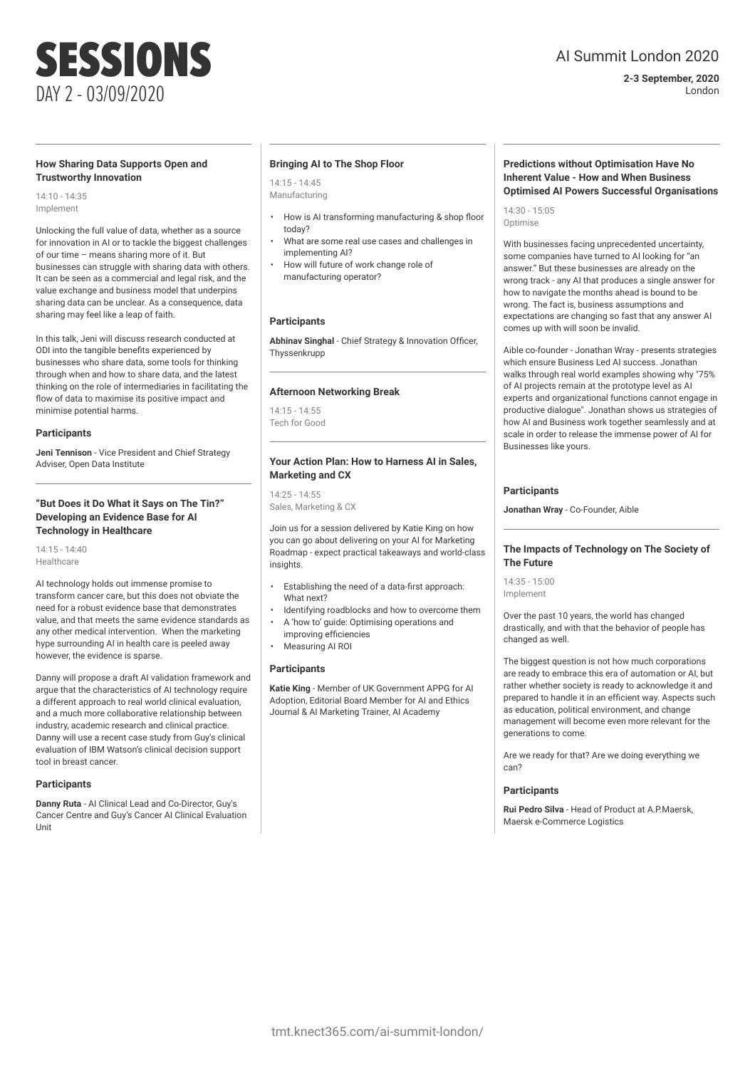## AI Summit London 2020

**2-3 September, 2020** London

### **How Sharing Data Supports Open and Trustworthy Innovation**

14:10 - 14:35 Implement

Unlocking the full value of data, whether as a source for innovation in AI or to tackle the biggest challenges of our time – means sharing more of it. But businesses can struggle with sharing data with others. It can be seen as a commercial and legal risk, and the value exchange and business model that underpins sharing data can be unclear. As a consequence, data sharing may feel like a leap of faith.

In this talk, Jeni will discuss research conducted at ODI into the tangible benefits experienced by businesses who share data, some tools for thinking through when and how to share data, and the latest thinking on the role of intermediaries in facilitating the flow of data to maximise its positive impact and minimise potential harms.

### **Participants**

**Jeni Tennison** - Vice President and Chief Strategy Adviser, Open Data Institute

### **"But Does it Do What it Says on The Tin?" Developing an Evidence Base for AI Technology in Healthcare**

14:15 - 14:40 Healthcare

AI technology holds out immense promise to transform cancer care, but this does not obviate the need for a robust evidence base that demonstrates value, and that meets the same evidence standards as any other medical intervention. When the marketing hype surrounding AI in health care is peeled away however, the evidence is sparse.

Danny will propose a draft AI validation framework and argue that the characteristics of AI technology require a different approach to real world clinical evaluation, and a much more collaborative relationship between industry, academic research and clinical practice. Danny will use a recent case study from Guy's clinical evaluation of IBM Watson's clinical decision support tool in breast cancer.

### **Participants**

**Danny Ruta** - AI Clinical Lead and Co-Director, Guy's Cancer Centre and Guy's Cancer AI Clinical Evaluation Unit

### **Bringing AI to The Shop Floor**

14:15 - 14:45 Manufacturing

- How is AI transforming manufacturing & shop floor today?
- What are some real use cases and challenges in implementing AI?
- How will future of work change role of manufacturing operator?

### **Participants**

**Abhinav Singhal** - Chief Strategy & Innovation Officer, **Thyssenkrupp** 

### **Afternoon Networking Break**

 $14.15 - 14.55$ Tech for Good

### **Your Action Plan: How to Harness AI in Sales, Marketing and CX**

14:25 - 14:55 Sales, Marketing & CX

Join us for a session delivered by Katie King on how you can go about delivering on your AI for Marketing Roadmap - expect practical takeaways and world-class insights.

- Establishing the need of a data-first approach: What next?
- Identifying roadblocks and how to overcome them
- A 'how to' guide: Optimising operations and improving efficiencies
- Measuring AI ROI

### **Participants**

**Katie King** - Member of UK Government APPG for AI Adoption, Editorial Board Member for AI and Ethics Journal & AI Marketing Trainer, AI Academy

### **Predictions without Optimisation Have No Inherent Value - How and When Business Optimised AI Powers Successful Organisations**

14:30 - 15:05 Optimise

With businesses facing unprecedented uncertainty, some companies have turned to AI looking for "an answer." But these businesses are already on the wrong track - any AI that produces a single answer for how to navigate the months ahead is bound to be wrong. The fact is, business assumptions and expectations are changing so fast that any answer AI comes up with will soon be invalid.

Aible co-founder - Jonathan Wray - presents strategies which ensure Business Led AI success. Jonathan walks through real world examples showing why "75% of AI projects remain at the prototype level as AI experts and organizational functions cannot engage in productive dialogue". Jonathan shows us strategies of how AI and Business work together seamlessly and at scale in order to release the immense power of AI for Businesses like yours.

### **Participants**

**Jonathan Wray** - Co-Founder, Aible

### **The Impacts of Technology on The Society of The Future**

 $14.35 - 15.00$ Implement

Over the past 10 years, the world has changed drastically, and with that the behavior of people has changed as well.

The biggest question is not how much corporations are ready to embrace this era of automation or AI, but rather whether society is ready to acknowledge it and prepared to handle it in an efficient way. Aspects such as education, political environment, and change management will become even more relevant for the generations to come.

Are we ready for that? Are we doing everything we can?

### **Participants**

**Rui Pedro Silva** - Head of Product at A.P.Maersk, Maersk e-Commerce Logistics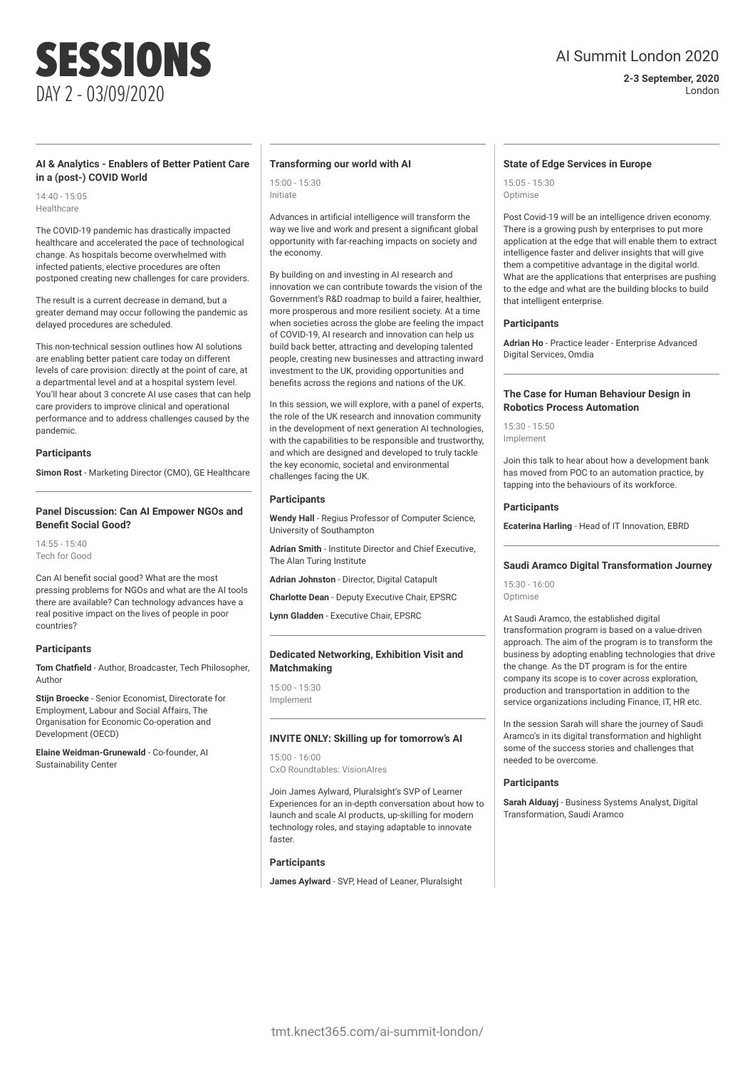## AI Summit London 2020

**2-3 September, 2020** London

### **AI & Analytics - Enablers of Better Patient Care in a (post-) COVID World**

14:40 - 15:05 **Healthcare** 

The COVID-19 pandemic has drastically impacted healthcare and accelerated the pace of technological change. As hospitals become overwhelmed with infected patients, elective procedures are often postponed creating new challenges for care providers.

The result is a current decrease in demand, but a greater demand may occur following the pandemic as delayed procedures are scheduled.

This non-technical session outlines how AI solutions are enabling better patient care today on different levels of care provision: directly at the point of care, at a departmental level and at a hospital system level. You'll hear about 3 concrete AI use cases that can help care providers to improve clinical and operational performance and to address challenges caused by the pandemic.

### **Participants**

**Simon Rost** - Marketing Director (CMO), GE Healthcare

### **Panel Discussion: Can AI Empower NGOs and Benefit Social Good?**

14:55 - 15:40 Tech for Good

Can AI benefit social good? What are the most pressing problems for NGOs and what are the AI tools there are available? Can technology advances have a real positive impact on the lives of people in poor countries?

### **Participants**

**Tom Chatfield** - Author, Broadcaster, Tech Philosopher, Author

**Stijn Broecke** - Senior Economist, Directorate for Employment, Labour and Social Affairs, The Organisation for Economic Co-operation and Development (OECD)

**Elaine Weidman-Grunewald** - Co-founder, AI Sustainability Center

### **Transforming our world with AI**

15:00 - 15:30 Initiate

Advances in artificial intelligence will transform the way we live and work and present a significant global opportunity with far-reaching impacts on society and the economy.

By building on and investing in AI research and innovation we can contribute towards the vision of the Government's R&D roadmap to build a fairer, healthier, more prosperous and more resilient society. At a time when societies across the globe are feeling the impact of COVID-19, AI research and innovation can help us build back better, attracting and developing talented people, creating new businesses and attracting inward investment to the UK, providing opportunities and benefits across the regions and nations of the UK.

In this session, we will explore, with a panel of experts, the role of the UK research and innovation community in the development of next generation AI technologies, with the capabilities to be responsible and trustworthy, and which are designed and developed to truly tackle the key economic, societal and environmental challenges facing the UK.

### **Participants**

**Wendy Hall** - Regius Professor of Computer Science, University of Southampton

**Adrian Smith** - Institute Director and Chief Executive, The Alan Turing Institute

**Adrian Johnston** - Director, Digital Catapult

**Charlotte Dean** - Deputy Executive Chair, EPSRC

**Lynn Gladden** - Executive Chair, EPSRC

### **Dedicated Networking, Exhibition Visit and Matchmaking**

15:00 - 15:30 Implement

### **INVITE ONLY: Skilling up for tomorrow's AI**

15:00 - 16:00 CxO Roundtables: VisionAIres

Join James Aylward, Pluralsight's SVP of Learner Experiences for an in-depth conversation about how to launch and scale AI products, up-skilling for modern technology roles, and staying adaptable to innovate faster.

### **Participants**

**James Aylward** - SVP, Head of Leaner, Pluralsight

### **State of Edge Services in Europe**

15:05 - 15:30 Optimise

Post Covid-19 will be an intelligence driven economy. There is a growing push by enterprises to put more application at the edge that will enable them to extract intelligence faster and deliver insights that will give them a competitive advantage in the digital world. What are the applications that enterprises are pushing to the edge and what are the building blocks to build that intelligent enterprise.

### **Participants**

**Adrian Ho** - Practice leader - Enterprise Advanced Digital Services, Omdia

### **The Case for Human Behaviour Design in Robotics Process Automation**

15:30 - 15:50 Implement

Join this talk to hear about how a development bank has moved from POC to an automation practice, by tapping into the behaviours of its workforce.

### **Participants**

**Ecaterina Harling** - Head of IT Innovation, EBRD

### **Saudi Aramco Digital Transformation Journey**

15:30 - 16:00 Optimise

At Saudi Aramco, the established digital transformation program is based on a value-driven approach. The aim of the program is to transform the business by adopting enabling technologies that drive the change. As the DT program is for the entire company its scope is to cover across exploration, production and transportation in addition to the service organizations including Finance, IT, HR etc.

In the session Sarah will share the journey of Saudi Aramco's in its digital transformation and highlight some of the success stories and challenges that needed to be overcome.

### **Participants**

**Sarah Alduayj** - Business Systems Analyst, Digital Transformation, Saudi Aramco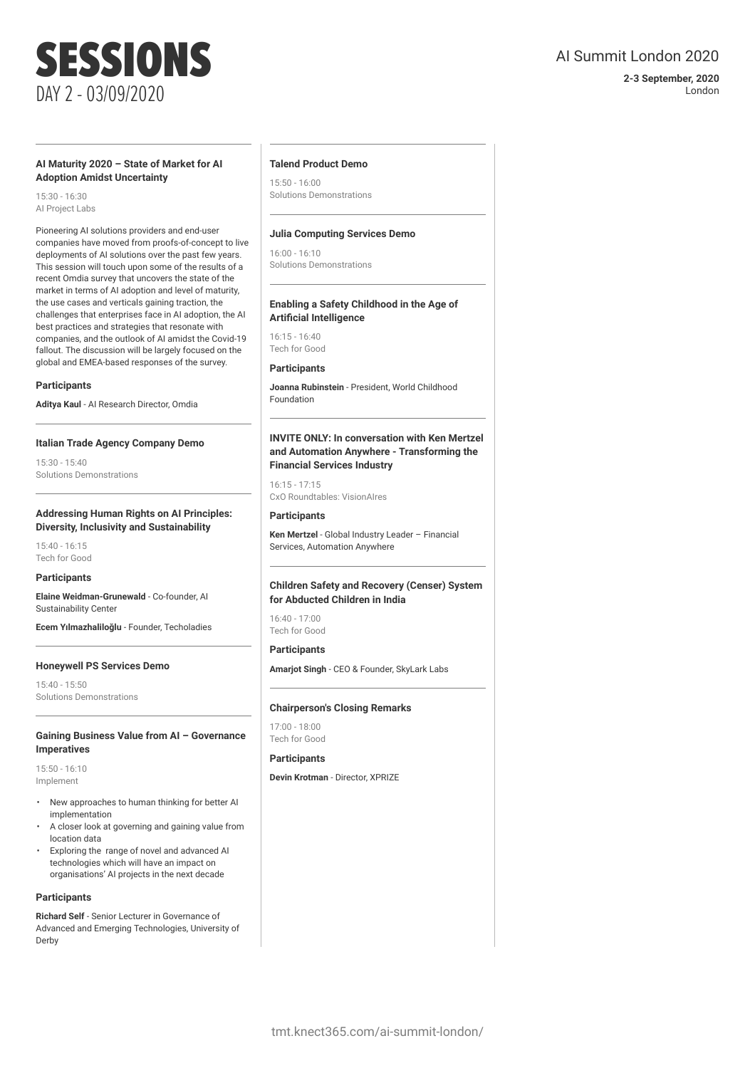### **2-3 September, 2020** London

# SESSIONS DAY 2 - 03/09/2020

### **AI Maturity 2020 – State of Market for AI Adoption Amidst Uncertainty**

15:30 - 16:30 AI Project Labs

Pioneering AI solutions providers and end-user companies have moved from proofs-of-concept to live deployments of AI solutions over the past few years. This session will touch upon some of the results of a recent Omdia survey that uncovers the state of the market in terms of AI adoption and level of maturity, the use cases and verticals gaining traction, the challenges that enterprises face in AI adoption, the AI best practices and strategies that resonate with companies, and the outlook of AI amidst the Covid-19 fallout. The discussion will be largely focused on the global and EMEA-based responses of the survey.

### **Participants**

**Aditya Kaul** - AI Research Director, Omdia

### **Italian Trade Agency Company Demo**

15:30 - 15:40 Solutions Demonstrations

### **Addressing Human Rights on AI Principles: Diversity, Inclusivity and Sustainability**

15:40 - 16:15 Tech for Good

### **Participants**

**Elaine Weidman-Grunewald** - Co-founder, AI Sustainability Center

**Ecem Yılmazhaliloğlu** - Founder, Techoladies

### **Honeywell PS Services Demo**

15:40 - 15:50 Solutions Demonstrations

### **Gaining Business Value from AI – Governance Imperatives**

15:50 - 16:10 Implement

- New approaches to human thinking for better AI implementation
- A closer look at governing and gaining value from location data
- Exploring the range of novel and advanced AI technologies which will have an impact on organisations' AI projects in the next decade

### **Participants**

**Richard Self** - Senior Lecturer in Governance of Advanced and Emerging Technologies, University of Derby

### **Talend Product Demo**

15:50 - 16:00 Solutions Demonstrations

### **Julia Computing Services Demo**

16:00 - 16:10 Solutions Demonstrations

### **Enabling a Safety Childhood in the Age of Artificial Intelligence**

16:15 - 16:40 Tech for Good

### **Participants**

**Joanna Rubinstein** - President, World Childhood Foundation

### **INVITE ONLY: In conversation with Ken Mertzel and Automation Anywhere - Transforming the Financial Services Industry**

16:15 - 17:15 CxO Roundtables: VisionAIres

### **Participants**

**Ken Mertzel** - Global Industry Leader – Financial Services, Automation Anywhere

### **Children Safety and Recovery (Censer) System for Abducted Children in India**

16:40 - 17:00 Tech for Good

### **Participants**

**Amarjot Singh** - CEO & Founder, SkyLark Labs

### **Chairperson's Closing Remarks**

17:00 - 18:00 Tech for Good

### **Participants**

**Devin Krotman** - Director, XPRIZE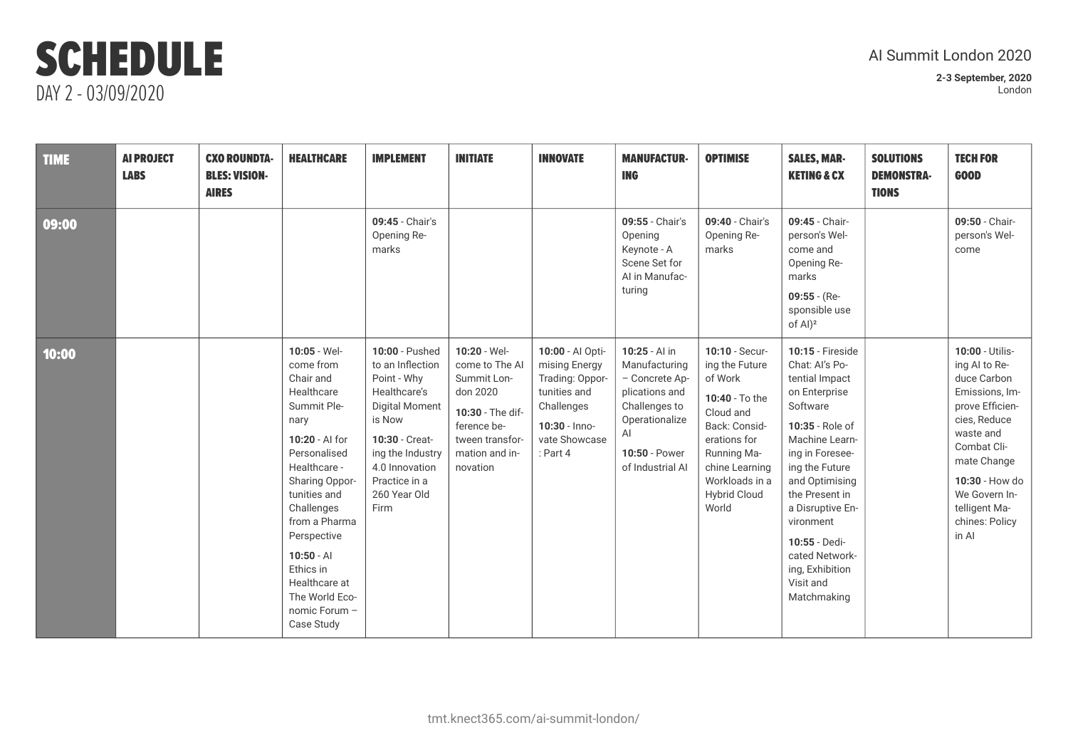## Al Summit London 2020

| <b>TIME</b> | <b>AI PROJECT</b><br><b>LABS</b> | <b>CXO ROUNDTA-</b><br><b>BLES: VISION-</b><br><b>AIRES</b> | <b>HEALTHCARE</b>                                                                                                                                                                                                                                                                                              | <b>IMPLEMENT</b>                                                                                                                                                                                      | <b>INITIATE</b>                                                                                                                                | <b>INNOVATE</b>                                                                                                                    | <b>MANUFACTUR-</b><br><b>ING</b>                                                                                                                 | <b>OPTIMISE</b>                                                                                                                                                                                | <b>SALES, MAR-</b><br><b>KETING &amp; CX</b>                                                                                                                                                                                                                                                                              | <b>SOLUTIONS</b><br><b>DEMONSTRA-</b><br><b>TIONS</b> | <b>TECH FOR</b><br><b>GOOD</b>                                                                                                                                                                                                 |
|-------------|----------------------------------|-------------------------------------------------------------|----------------------------------------------------------------------------------------------------------------------------------------------------------------------------------------------------------------------------------------------------------------------------------------------------------------|-------------------------------------------------------------------------------------------------------------------------------------------------------------------------------------------------------|------------------------------------------------------------------------------------------------------------------------------------------------|------------------------------------------------------------------------------------------------------------------------------------|--------------------------------------------------------------------------------------------------------------------------------------------------|------------------------------------------------------------------------------------------------------------------------------------------------------------------------------------------------|---------------------------------------------------------------------------------------------------------------------------------------------------------------------------------------------------------------------------------------------------------------------------------------------------------------------------|-------------------------------------------------------|--------------------------------------------------------------------------------------------------------------------------------------------------------------------------------------------------------------------------------|
| 09:00       |                                  |                                                             |                                                                                                                                                                                                                                                                                                                | 09:45 - Chair's<br>Opening Re-<br>marks                                                                                                                                                               |                                                                                                                                                |                                                                                                                                    | 09:55 - Chair's<br>Opening<br>Keynote - A<br>Scene Set for<br>Al in Manufac-<br>turing                                                           | 09:40 - Chair's<br>Opening Re-<br>marks                                                                                                                                                        | 09:45 - Chair-<br>person's Wel-<br>come and<br>Opening Re-<br>marks<br>$09:55 - (Re-$<br>sponsible use<br>of Al) <sup>2</sup>                                                                                                                                                                                             |                                                       | 09:50 - Chair-<br>person's Wel-<br>come                                                                                                                                                                                        |
| 10:00       |                                  |                                                             | $10:05 - Wel-$<br>come from<br>Chair and<br>Healthcare<br>Summit Ple-<br>nary<br>10:20 - Al for<br>Personalised<br>Healthcare -<br>Sharing Oppor-<br>tunities and<br>Challenges<br>from a Pharma<br>Perspective<br>$10:50 - AI$<br>Ethics in<br>Healthcare at<br>The World Eco-<br>nomic Forum -<br>Case Study | 10:00 - Pushed<br>to an Inflection<br>Point - Why<br>Healthcare's<br><b>Digital Moment</b><br>is Now<br>10:30 - Creat-<br>ing the Industry<br>4.0 Innovation<br>Practice in a<br>260 Year Old<br>Firm | $10:20 - Wel$<br>come to The AI<br>Summit Lon-<br>don 2020<br>10:30 - The dif-<br>ference be-<br>tween transfor-<br>mation and in-<br>novation | 10:00 - Al Opti-<br>mising Energy<br>Trading: Oppor-<br>tunities and<br>Challenges<br>$10:30 -$ Inno-<br>vate Showcase<br>: Part 4 | 10:25 - Al in<br>Manufacturing<br>- Concrete Ap-<br>plications and<br>Challenges to<br>Operationalize<br>AI<br>10:50 - Power<br>of Industrial Al | 10:10 - Secur-<br>ing the Future<br>of Work<br>10:40 - To the<br>Cloud and<br>Back: Consid-<br>erations for<br>Running Ma-<br>chine Learning<br>Workloads in a<br><b>Hybrid Cloud</b><br>World | <b>10:15 - Fireside</b><br>Chat: Al's Po-<br>tential Impact<br>on Enterprise<br>Software<br>10:35 - Role of<br>Machine Learn-<br>ing in Foresee-<br>ing the Future<br>and Optimising<br>the Present in<br>a Disruptive En-<br>vironment<br>10:55 - Dedi-<br>cated Network-<br>ing, Exhibition<br>Visit and<br>Matchmaking |                                                       | 10:00 - Utilis-<br>ing AI to Re-<br>duce Carbon<br>Emissions, Im-<br>prove Efficien-<br>cies, Reduce<br>waste and<br>Combat Cli-<br>mate Change<br>10:30 - How do<br>We Govern In-<br>telligent Ma-<br>chines: Policy<br>in Al |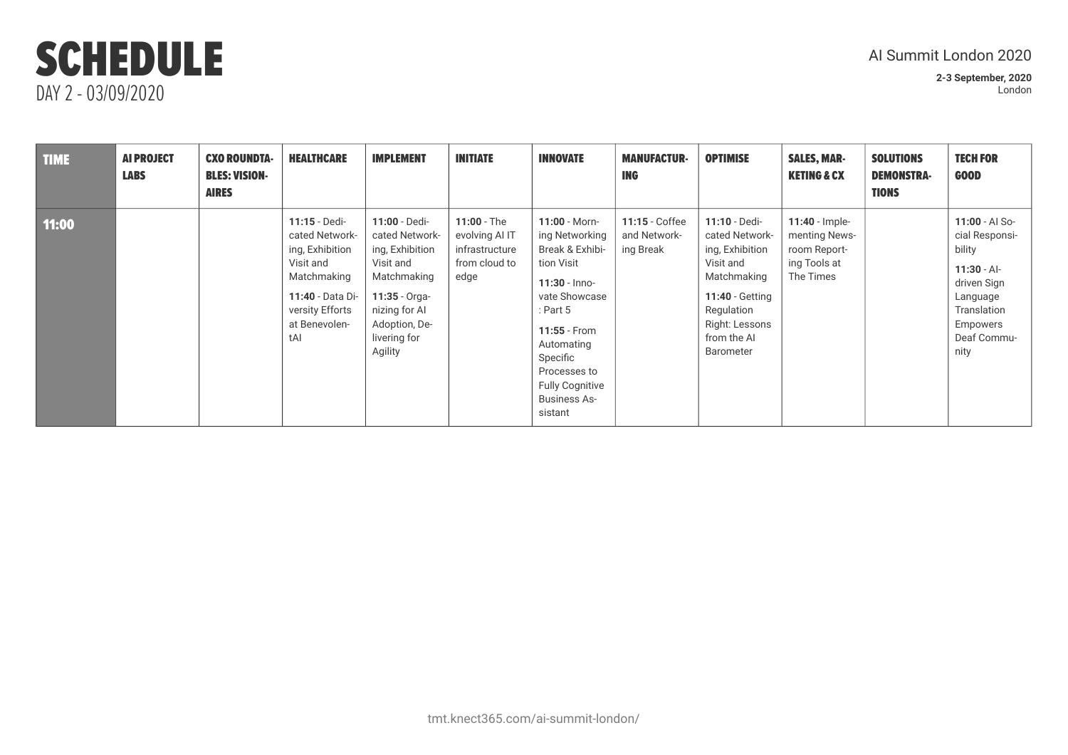## Al Summit London 2020

| <b>TIME</b> | <b>AI PROJECT</b><br><b>LABS</b> | <b>CXO ROUNDTA-</b><br><b>BLES: VISION-</b><br><b>AIRES</b> | <b>HEALTHCARE</b>                                                                                                                             | <b>IMPLEMENT</b>                                                                                                                                                | <b>INITIATE</b>                                                            | <b>INNOVATE</b>                                                                                                                                                                                                                            | <b>MANUFACTUR-</b><br><b>ING</b>            | <b>OPTIMISE</b>                                                                                                                                                      | <b>SALES, MAR-</b><br><b>KETING &amp; CX</b>                                   | <b>SOLUTIONS</b><br><b>DEMONSTRA-</b><br><b>TIONS</b> | <b>TECH FOR</b><br><b>GOOD</b>                                                                                                           |
|-------------|----------------------------------|-------------------------------------------------------------|-----------------------------------------------------------------------------------------------------------------------------------------------|-----------------------------------------------------------------------------------------------------------------------------------------------------------------|----------------------------------------------------------------------------|--------------------------------------------------------------------------------------------------------------------------------------------------------------------------------------------------------------------------------------------|---------------------------------------------|----------------------------------------------------------------------------------------------------------------------------------------------------------------------|--------------------------------------------------------------------------------|-------------------------------------------------------|------------------------------------------------------------------------------------------------------------------------------------------|
| 11:00       |                                  |                                                             | 11:15 - Dedi-<br>cated Network-<br>ing, Exhibition<br>Visit and<br>Matchmaking<br>11:40 - Data Di-<br>versity Efforts<br>at Benevolen-<br>tAI | 11:00 - Dedi-<br>cated Network-<br>ing, Exhibition<br>Visit and<br>Matchmaking<br>$11:35 - Orqa -$<br>nizing for AI<br>Adoption, De-<br>livering for<br>Agility | $11:00 - The$<br>evolving AI IT<br>infrastructure<br>from cloud to<br>edge | $11:00 - Morn-$<br>ing Networking<br>Break & Exhibi-<br>tion Visit<br>$11:30 -$ Inno-<br>vate Showcase<br>: Part $5$<br>11:55 - From<br>Automating<br>Specific<br>Processes to<br><b>Fully Cognitive</b><br><b>Business As-</b><br>sistant | 11:15 - Coffee<br>and Network-<br>ing Break | 11:10 - Dedi-<br>cated Network-<br>ing, Exhibition<br>Visit and<br>Matchmaking<br><b>11:40 - Getting</b><br>Regulation<br>Right: Lessons<br>from the AI<br>Barometer | $11:40$ - Imple-<br>menting News-<br>room Report-<br>ing Tools at<br>The Times |                                                       | 11:00 - AI So-<br>cial Responsi-<br>bility<br>$11:30 - Al-$<br>driven Sign<br>Language<br>Translation<br>Empowers<br>Deaf Commu-<br>nity |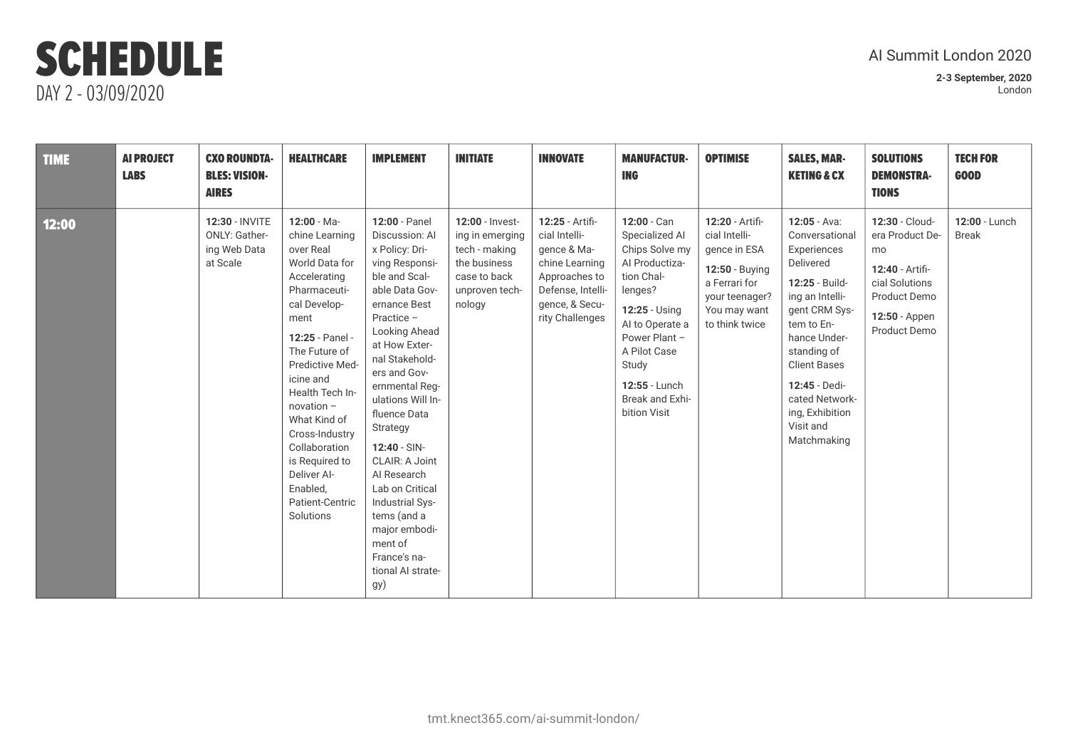## Al Summit London 2020

| <b>TIME</b> | <b>AI PROJECT</b><br><b>LABS</b> | <b>CXO ROUNDTA-</b><br><b>BLES: VISION-</b><br><b>AIRES</b>        | <b>HEALTHCARE</b>                                                                                                                                                                                                                                                                                                                                            | <b>IMPLEMENT</b>                                                                                                                                                                                                                                                                                                                                                                                                                                            | <b>INITIATE</b>                                                                                                 | <b>INNOVATE</b>                                                                                                                              | <b>MANUFACTUR-</b><br><b>ING</b>                                                                                                                                                                                             | <b>OPTIMISE</b>                                                                                                                         | <b>SALES, MAR-</b><br><b>KETING &amp; CX</b>                                                                                                                                                                                                                              | <b>SOLUTIONS</b><br><b>DEMONSTRA-</b><br><b>TIONS</b>                                                                         | <b>TECH FOR</b><br><b>GOOD</b> |
|-------------|----------------------------------|--------------------------------------------------------------------|--------------------------------------------------------------------------------------------------------------------------------------------------------------------------------------------------------------------------------------------------------------------------------------------------------------------------------------------------------------|-------------------------------------------------------------------------------------------------------------------------------------------------------------------------------------------------------------------------------------------------------------------------------------------------------------------------------------------------------------------------------------------------------------------------------------------------------------|-----------------------------------------------------------------------------------------------------------------|----------------------------------------------------------------------------------------------------------------------------------------------|------------------------------------------------------------------------------------------------------------------------------------------------------------------------------------------------------------------------------|-----------------------------------------------------------------------------------------------------------------------------------------|---------------------------------------------------------------------------------------------------------------------------------------------------------------------------------------------------------------------------------------------------------------------------|-------------------------------------------------------------------------------------------------------------------------------|--------------------------------|
| 12:00       |                                  | 12:30 - INVITE<br><b>ONLY: Gather-</b><br>ing Web Data<br>at Scale | $12:00 - Ma -$<br>chine Learning<br>over Real<br>World Data for<br>Accelerating<br>Pharmaceuti-<br>cal Develop-<br>ment<br>12:25 - Panel -<br>The Future of<br>Predictive Med-<br>icine and<br>Health Tech In-<br>novation -<br>What Kind of<br>Cross-Industry<br>Collaboration<br>is Required to<br>Deliver Al-<br>Enabled,<br>Patient-Centric<br>Solutions | 12:00 - Panel<br>Discussion: Al<br>x Policy: Dri-<br>ving Responsi-<br>ble and Scal-<br>able Data Gov-<br>ernance Best<br>Practice -<br>Looking Ahead<br>at How Exter-<br>nal Stakehold-<br>ers and Gov-<br>ernmental Reg-<br>ulations Will In-<br>fluence Data<br>Strategy<br>$12:40 - SIN-$<br>CLAIR: A Joint<br>Al Research<br>Lab on Critical<br>Industrial Sys-<br>tems (and a<br>major embodi-<br>ment of<br>France's na-<br>tional AI strate-<br>gy) | 12:00 - Invest-<br>ing in emerging<br>tech - making<br>the business<br>case to back<br>unproven tech-<br>nology | 12:25 - Artifi-<br>cial Intelli-<br>gence & Ma-<br>chine Learning<br>Approaches to<br>Defense, Intelli-<br>gence, & Secu-<br>rity Challenges | 12:00 - Can<br>Specialized Al<br>Chips Solve my<br>Al Productiza-<br>tion Chal-<br>lenges?<br>12:25 - Using<br>Al to Operate a<br>Power Plant -<br>A Pilot Case<br>Study<br>12:55 - Lunch<br>Break and Exhi-<br>bition Visit | 12:20 - Artifi-<br>cial Intelli-<br>gence in ESA<br>12:50 - Buying<br>a Ferrari for<br>your teenager?<br>You may want<br>to think twice | $12:05 - Ava$ :<br>Conversational<br>Experiences<br>Delivered<br>12:25 - Build-<br>ing an Intelli-<br>gent CRM Sys-<br>tem to En-<br>hance Under-<br>standing of<br><b>Client Bases</b><br>12:45 - Dedi-<br>cated Network-<br>ing, Exhibition<br>Visit and<br>Matchmaking | 12:30 - Cloud-<br>era Product De-<br>mo<br>12:40 - Artifi-<br>cial Solutions<br>Product Demo<br>12:50 - Appen<br>Product Demo | 12:00 - Lunch<br><b>Break</b>  |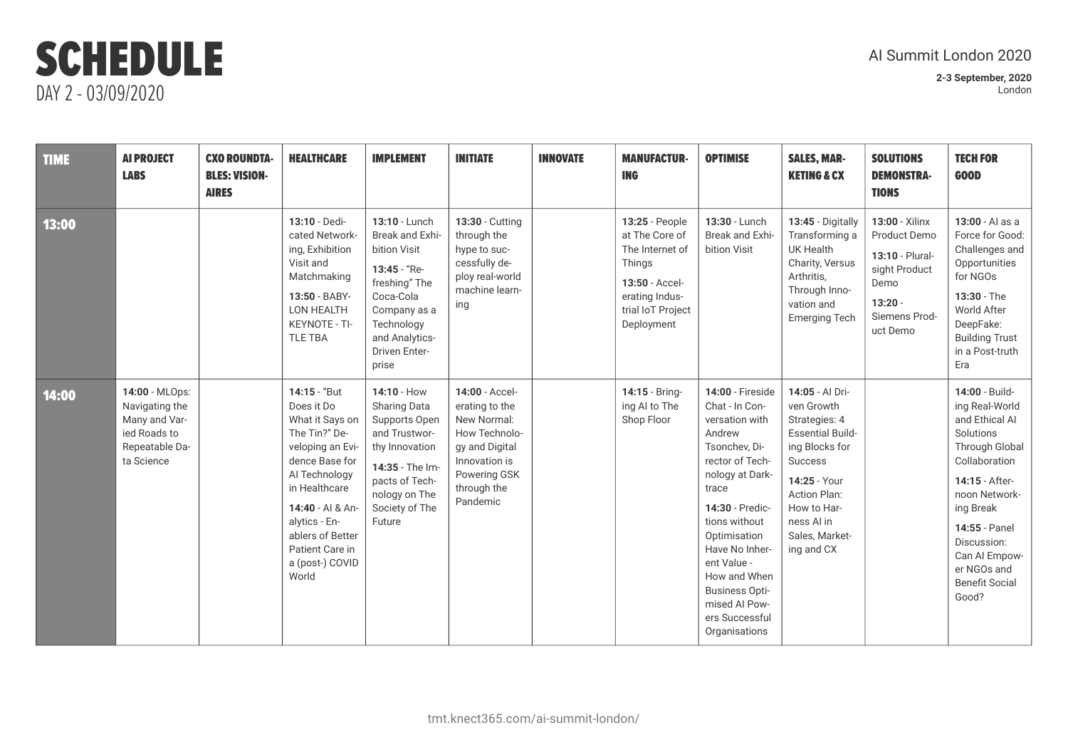## Al Summit London 2020

| <b>TIME</b> | <b>AI PROJECT</b><br><b>LABS</b>                                                                  | <b>CXO ROUNDTA-</b><br><b>BLES: VISION-</b><br><b>AIRES</b> | <b>HEALTHCARE</b>                                                                                                                                                                                                                              | <b>IMPLEMENT</b>                                                                                                                                                         | <b>INITIATE</b>                                                                                                                                | <b>INNOVATE</b> | <b>MANUFACTUR-</b><br><b>ING</b>                                                                                                     | <b>OPTIMISE</b>                                                                                                                                                                                                                                                                                                         | <b>SALES, MAR-</b><br><b>KETING &amp; CX</b>                                                                                                                                                        | <b>SOLUTIONS</b><br><b>DEMONSTRA-</b><br><b>TIONS</b>                                                                | <b>TECH FOR</b><br><b>GOOD</b>                                                                                                                                                                                                                       |
|-------------|---------------------------------------------------------------------------------------------------|-------------------------------------------------------------|------------------------------------------------------------------------------------------------------------------------------------------------------------------------------------------------------------------------------------------------|--------------------------------------------------------------------------------------------------------------------------------------------------------------------------|------------------------------------------------------------------------------------------------------------------------------------------------|-----------------|--------------------------------------------------------------------------------------------------------------------------------------|-------------------------------------------------------------------------------------------------------------------------------------------------------------------------------------------------------------------------------------------------------------------------------------------------------------------------|-----------------------------------------------------------------------------------------------------------------------------------------------------------------------------------------------------|----------------------------------------------------------------------------------------------------------------------|------------------------------------------------------------------------------------------------------------------------------------------------------------------------------------------------------------------------------------------------------|
| 13:00       |                                                                                                   |                                                             | 13:10 - Dedi-<br>cated Network-<br>ing, Exhibition<br>Visit and<br>Matchmaking<br>13:50 - BABY-<br>LON HEALTH<br>KEYNOTE - TI-<br>TLE TBA                                                                                                      | 13:10 - Lunch<br>Break and Exhi-<br>bition Visit<br>13:45 - "Re-<br>freshing" The<br>Coca-Cola<br>Company as a<br>Technology<br>and Analytics-<br>Driven Enter-<br>prise | 13:30 - Cutting<br>through the<br>hype to suc-<br>cessfully de-<br>ploy real-world<br>machine learn-<br>ing                                    |                 | 13:25 - People<br>at The Core of<br>The Internet of<br>Things<br>13:50 - Accel-<br>erating Indus-<br>trial IoT Project<br>Deployment | 13:30 - Lunch<br>Break and Exhi-<br>bition Visit                                                                                                                                                                                                                                                                        | 13:45 - Digitally<br>Transforming a<br><b>UK Health</b><br>Charity, Versus<br>Arthritis,<br>Through Inno-<br>vation and<br><b>Emerging Tech</b>                                                     | 13:00 - Xilinx<br>Product Demo<br>13:10 - Plural-<br>sight Product<br>Demo<br>$13:20 -$<br>Siemens Prod-<br>uct Demo | 13:00 - Al as a<br>Force for Good:<br>Challenges and<br>Opportunities<br>for NGOs<br>13:30 - The<br>World After<br>DeepFake:<br><b>Building Trust</b><br>in a Post-truth<br>Era                                                                      |
| 14:00       | 14:00 - MLOps:<br>Navigating the<br>Many and Var-<br>ied Roads to<br>Repeatable Da-<br>ta Science |                                                             | 14:15 - "But<br>Does it Do<br>What it Says on<br>The Tin?" De-<br>veloping an Evi-<br>dence Base for<br>Al Technology<br>in Healthcare<br>14:40 - Al & An-<br>alytics - En-<br>ablers of Better<br>Patient Care in<br>a (post-) COVID<br>World | 14:10 - How<br>Sharing Data<br>Supports Open<br>and Trustwor-<br>thy Innovation<br>14:35 - The Im-<br>pacts of Tech-<br>nology on The<br>Society of The<br>Future        | 14:00 - Accel-<br>erating to the<br>New Normal:<br>How Technolo-<br>gy and Digital<br>Innovation is<br>Powering GSK<br>through the<br>Pandemic |                 | 14:15 - Bring-<br>ing AI to The<br>Shop Floor                                                                                        | <b>14:00 - Fireside</b><br>Chat - In Con-<br>versation with<br>Andrew<br>Tsonchev, Di-<br>rector of Tech-<br>nology at Dark-<br>trace<br>14:30 - Predic-<br>tions without<br>Optimisation<br>Have No Inher-<br>ent Value -<br>How and When<br><b>Business Opti-</b><br>mised Al Pow-<br>ers Successful<br>Organisations | 14:05 - Al Dri-<br>ven Growth<br>Strategies: 4<br><b>Essential Build-</b><br>ing Blocks for<br>Success<br>14:25 - Your<br>Action Plan:<br>How to Har-<br>ness Al in<br>Sales, Market-<br>ing and CX |                                                                                                                      | 14:00 - Build-<br>ing Real-World<br>and Ethical AI<br>Solutions<br>Through Global<br>Collaboration<br>14:15 - After-<br>noon Network-<br>ing Break<br>14:55 - Panel<br>Discussion:<br>Can Al Empow-<br>er NGOs and<br><b>Benefit Social</b><br>Good? |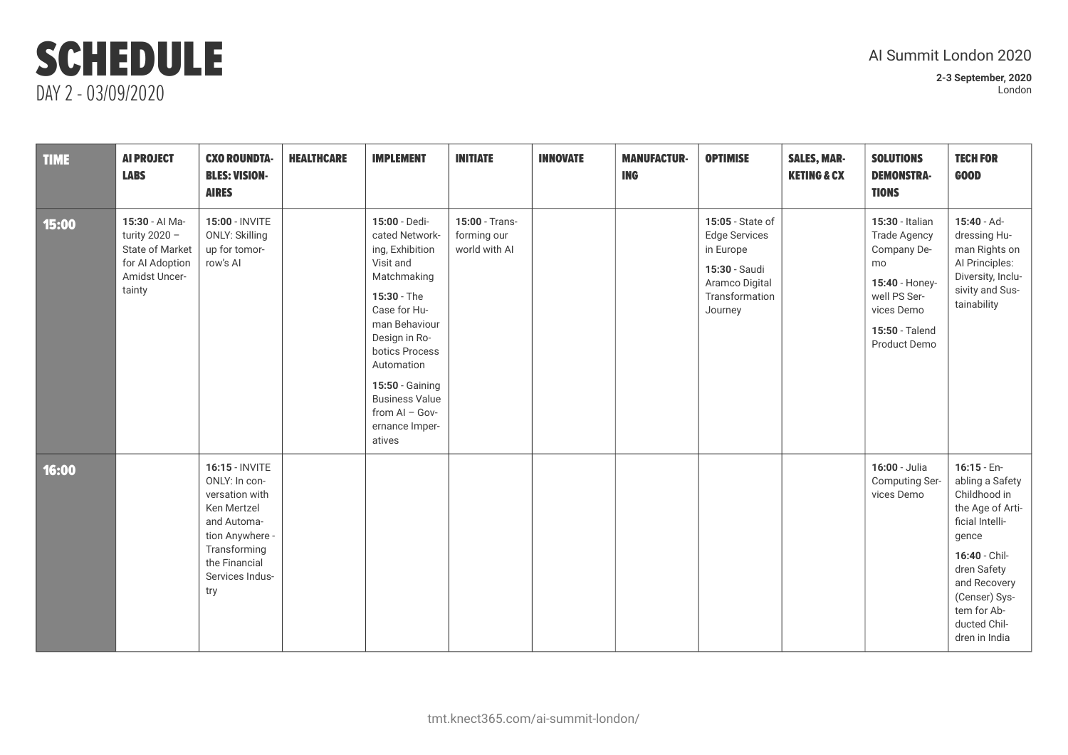## Al Summit London 2020

| <b>TIME</b> | <b>AI PROJECT</b><br><b>LABS</b>                                                                          | <b>CXO ROUNDTA-</b><br><b>BLES: VISION-</b><br><b>AIRES</b>                                                                                                   | <b>HEALTHCARE</b> | <b>IMPLEMENT</b>                                                                                                                                                                                                                                                            | <b>INITIATE</b>                                | <b>INNOVATE</b> | <b>MANUFACTUR-</b><br><b>ING</b> | <b>OPTIMISE</b>                                                                                                       | <b>SALES, MAR-</b><br><b>KETING &amp; CX</b> | <b>SOLUTIONS</b><br><b>DEMONSTRA-</b><br><b>TIONS</b>                                                                                         | <b>TECH FOR</b><br><b>GOOD</b>                                                                                                                                                                                    |
|-------------|-----------------------------------------------------------------------------------------------------------|---------------------------------------------------------------------------------------------------------------------------------------------------------------|-------------------|-----------------------------------------------------------------------------------------------------------------------------------------------------------------------------------------------------------------------------------------------------------------------------|------------------------------------------------|-----------------|----------------------------------|-----------------------------------------------------------------------------------------------------------------------|----------------------------------------------|-----------------------------------------------------------------------------------------------------------------------------------------------|-------------------------------------------------------------------------------------------------------------------------------------------------------------------------------------------------------------------|
| 15:00       | 15:30 - Al Ma-<br>turity $2020 -$<br><b>State of Market</b><br>for Al Adoption<br>Amidst Uncer-<br>tainty | 15:00 - INVITE<br><b>ONLY: Skilling</b><br>up for tomor-<br>row's Al                                                                                          |                   | 15:00 - Dedi-<br>cated Network-<br>ing, Exhibition<br>Visit and<br>Matchmaking<br>15:30 - The<br>Case for Hu-<br>man Behaviour<br>Design in Ro-<br>botics Process<br>Automation<br>15:50 - Gaining<br><b>Business Value</b><br>from $AI - Gov-$<br>ernance Imper-<br>atives | 15:00 - Trans-<br>forming our<br>world with AI |                 |                                  | 15:05 - State of<br><b>Edge Services</b><br>in Europe<br>15:30 - Saudi<br>Aramco Digital<br>Transformation<br>Journey |                                              | 15:30 - Italian<br><b>Trade Agency</b><br>Company De-<br>mo<br>15:40 - Honey-<br>well PS Ser-<br>vices Demo<br>15:50 - Talend<br>Product Demo | 15:40 - Ad-<br>dressing Hu-<br>man Rights on<br>Al Principles:<br>Diversity, Inclu-<br>sivity and Sus-<br>tainability                                                                                             |
| 16:00       |                                                                                                           | 16:15 - INVITE<br>ONLY: In con-<br>versation with<br>Ken Mertzel<br>and Automa-<br>tion Anywhere -<br>Transforming<br>the Financial<br>Services Indus-<br>try |                   |                                                                                                                                                                                                                                                                             |                                                |                 |                                  |                                                                                                                       |                                              | 16:00 - Julia<br><b>Computing Ser-</b><br>vices Demo                                                                                          | $16:15 - En-$<br>abling a Safety<br>Childhood in<br>the Age of Arti-<br>ficial Intelli-<br>gence<br>16:40 - Chil-<br>dren Safety<br>and Recovery<br>(Censer) Sys-<br>tem for Ab-<br>ducted Chil-<br>dren in India |